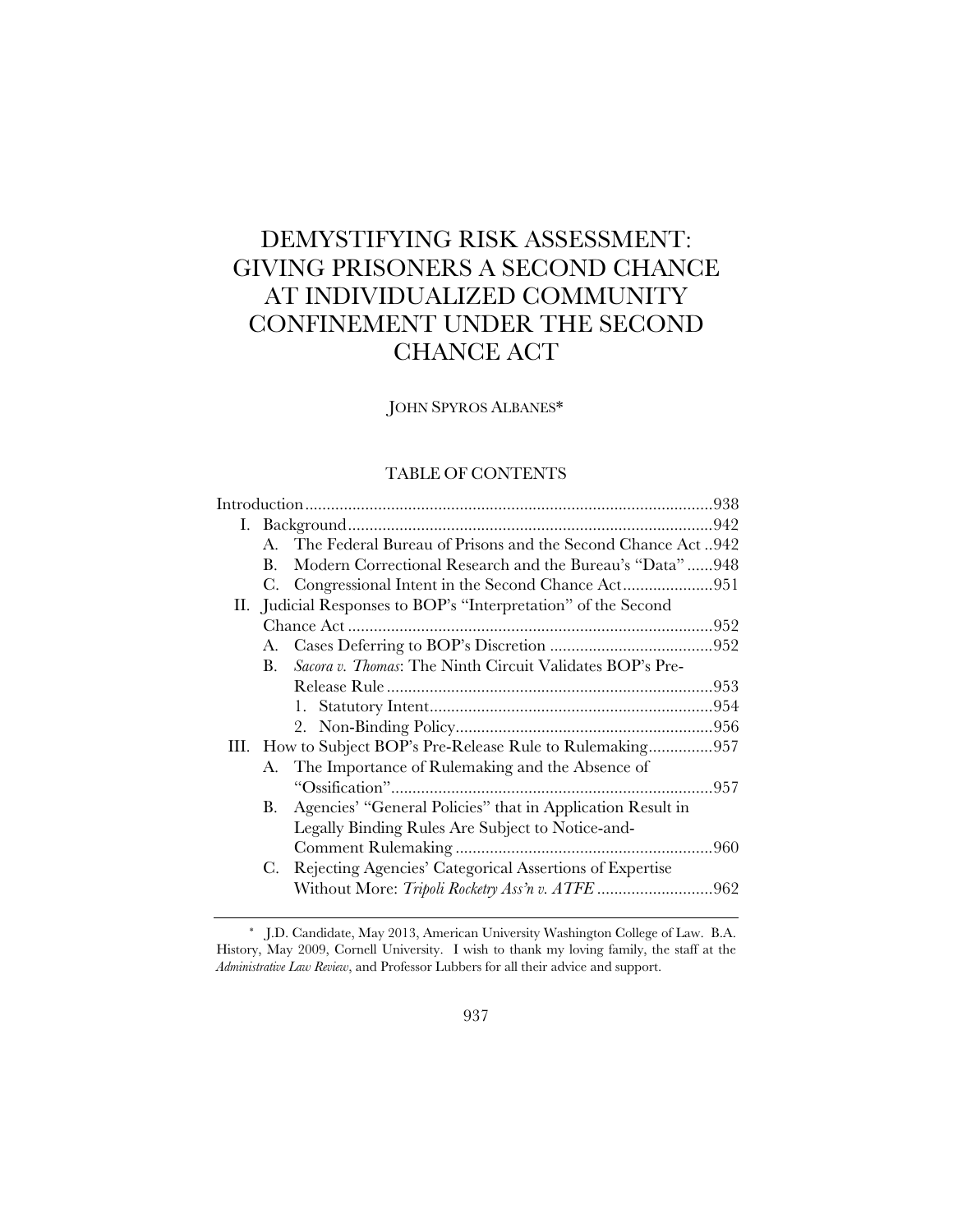# DEMYSTIFYING RISK ASSESSMENT: GIVING PRISONERS A SECOND CHANCE AT INDIVIDUALIZED COMMUNITY CONFINEMENT UNDER THE SECOND CHANCE ACT

JOHN SPYROS ALBANES\*

# TABLE OF CONTENTS

|  | $A_{\cdot}$ | The Federal Bureau of Prisons and the Second Chance Act942      |      |
|--|-------------|-----------------------------------------------------------------|------|
|  | $B_{\cdot}$ | Modern Correctional Research and the Bureau's "Data"948         |      |
|  |             |                                                                 |      |
|  |             | II. Judicial Responses to BOP's "Interpretation" of the Second  |      |
|  |             |                                                                 |      |
|  | А.          |                                                                 |      |
|  | B.          | <i>Sacora v. Thomas:</i> The Ninth Circuit Validates BOP's Pre- |      |
|  |             |                                                                 |      |
|  |             |                                                                 |      |
|  |             |                                                                 |      |
|  |             | III. How to Subject BOP's Pre-Release Rule to Rulemaking957     |      |
|  |             | A. The Importance of Rulemaking and the Absence of              |      |
|  |             |                                                                 |      |
|  | В.          | Agencies' "General Policies" that in Application Result in      |      |
|  |             | Legally Binding Rules Are Subject to Notice-and-                |      |
|  |             |                                                                 | .960 |
|  | C.          | Rejecting Agencies' Categorical Assertions of Expertise         |      |
|  |             |                                                                 |      |
|  |             |                                                                 |      |

 <sup>\*</sup> J.D. Candidate, May 2013, American University Washington College of Law. B.A. History, May 2009, Cornell University. I wish to thank my loving family, the staff at the *Administrative Law Review*, and Professor Lubbers for all their advice and support.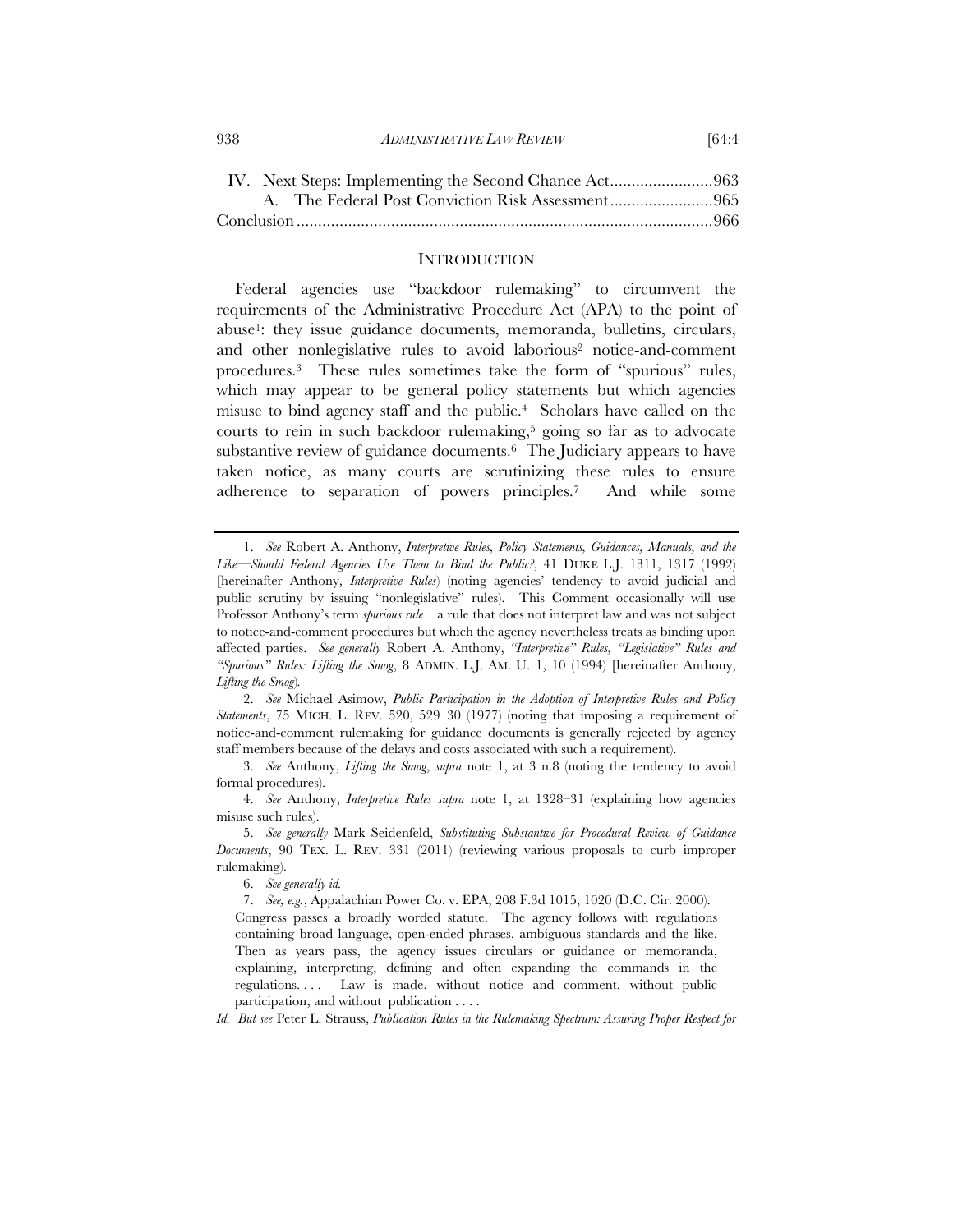## **INTRODUCTION**

Federal agencies use "backdoor rulemaking" to circumvent the requirements of the Administrative Procedure Act (APA) to the point of abuse1: they issue guidance documents, memoranda, bulletins, circulars, and other nonlegislative rules to avoid laborious<sup>2</sup> notice-and-comment procedures.3 These rules sometimes take the form of "spurious" rules, which may appear to be general policy statements but which agencies misuse to bind agency staff and the public.4 Scholars have called on the courts to rein in such backdoor rulemaking,<sup>5</sup> going so far as to advocate substantive review of guidance documents.6 The Judiciary appears to have taken notice, as many courts are scrutinizing these rules to ensure adherence to separation of powers principles.7 And while some

 2. *See* Michael Asimow, *Public Participation in the Adoption of Interpretive Rules and Policy Statements*, 75 MICH. L. REV. 520, 529–30 (1977) (noting that imposing a requirement of notice-and-comment rulemaking for guidance documents is generally rejected by agency staff members because of the delays and costs associated with such a requirement).

 3. *See* Anthony, *Lifting the Smog*, *supra* note 1, at 3 n.8 (noting the tendency to avoid formal procedures).

 4. *See* Anthony, *Interpretive Rules supra* note 1, at 1328–31 (explaining how agencies misuse such rules).

 5. *See generally* Mark Seidenfeld, *Substituting Substantive for Procedural Review of Guidance Documents*, 90 TEX. L. REV. 331 (2011) (reviewing various proposals to curb improper rulemaking).

6. *See generally id.*

 7. *See, e.g.*, Appalachian Power Co. v. EPA, 208 F.3d 1015, 1020 (D.C. Cir. 2000). Congress passes a broadly worded statute. The agency follows with regulations containing broad language, open-ended phrases, ambiguous standards and the like. Then as years pass, the agency issues circulars or guidance or memoranda, explaining, interpreting, defining and often expanding the commands in the regulations. . . . Law is made, without notice and comment, without public participation, and without publication . . . .

*Id. But see* Peter L. Strauss, *Publication Rules in the Rulemaking Spectrum: Assuring Proper Respect for* 

 <sup>1.</sup> *See* Robert A. Anthony, *Interpretive Rules, Policy Statements, Guidances, Manuals, and the Like—Should Federal Agencies Use Them to Bind the Public?*, 41 DUKE L.J. 1311, 1317 (1992) [hereinafter Anthony, *Interpretive Rules*) (noting agencies' tendency to avoid judicial and public scrutiny by issuing "nonlegislative" rules). This Comment occasionally will use Professor Anthony's term *spurious rule*—a rule that does not interpret law and was not subject to notice-and-comment procedures but which the agency nevertheless treats as binding upon affected parties. *See generally* Robert A. Anthony, *"Interpretive" Rules, "Legislative" Rules and "Spurious" Rules: Lifting the Smog*, 8 ADMIN. L.J. AM. U. 1, 10 (1994) [hereinafter Anthony, *Lifting the Smog*)*.*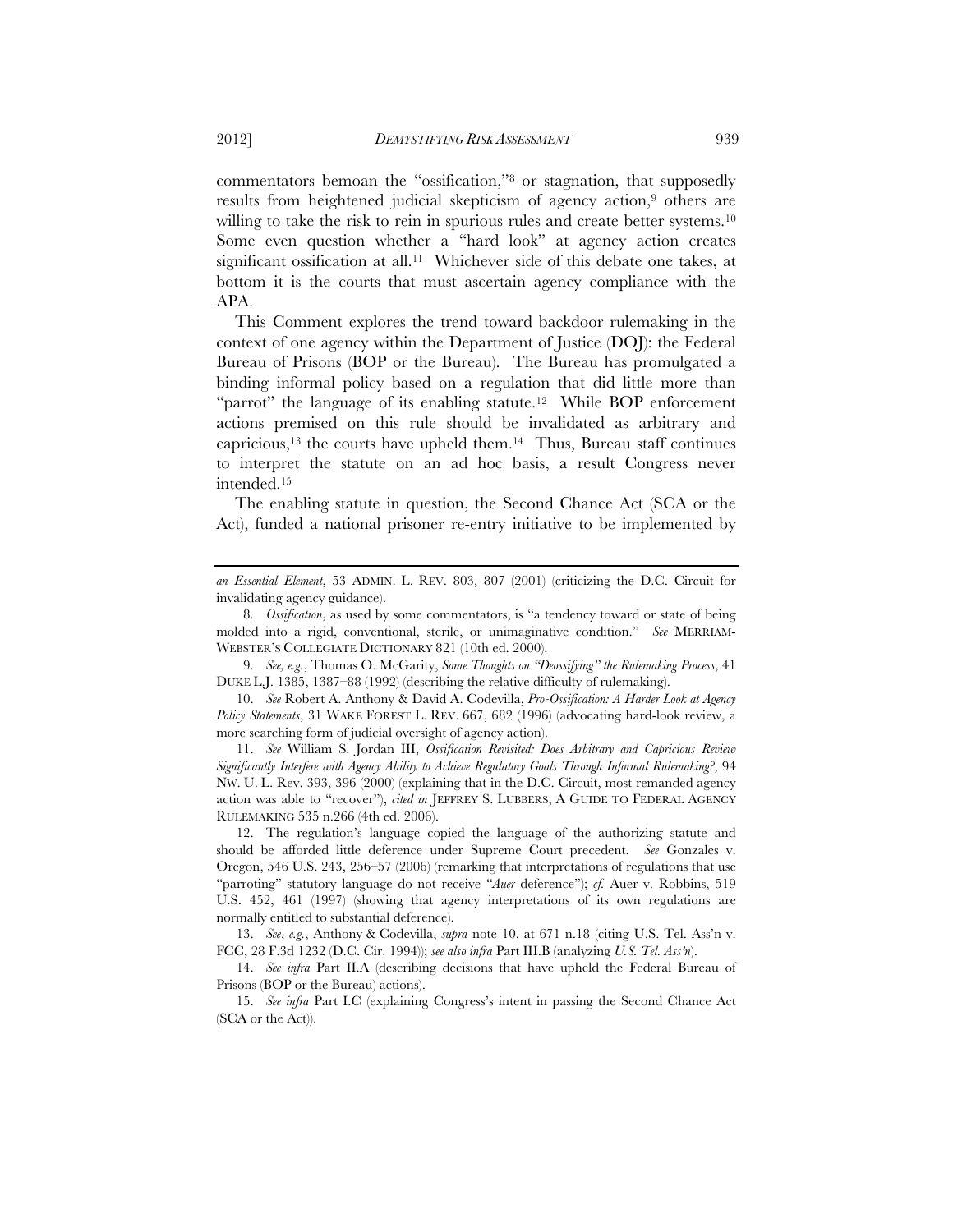commentators bemoan the "ossification,"8 or stagnation, that supposedly results from heightened judicial skepticism of agency action,<sup>9</sup> others are willing to take the risk to rein in spurious rules and create better systems.<sup>10</sup> Some even question whether a "hard look" at agency action creates significant ossification at all.<sup>11</sup> Whichever side of this debate one takes, at bottom it is the courts that must ascertain agency compliance with the APA.

This Comment explores the trend toward backdoor rulemaking in the context of one agency within the Department of Justice (DOJ): the Federal Bureau of Prisons (BOP or the Bureau). The Bureau has promulgated a binding informal policy based on a regulation that did little more than "parrot" the language of its enabling statute.<sup>12</sup> While BOP enforcement actions premised on this rule should be invalidated as arbitrary and capricious,<sup>13</sup> the courts have upheld them.<sup>14</sup> Thus, Bureau staff continues to interpret the statute on an ad hoc basis, a result Congress never intended.15

The enabling statute in question, the Second Chance Act (SCA or the Act), funded a national prisoner re-entry initiative to be implemented by

 11. *See* William S. Jordan III, *Ossification Revisited: Does Arbitrary and Capricious Review Significantly Interfere with Agency Ability to Achieve Regulatory Goals Through Informal Rulemaking?*, 94 NW. U. L. Rev. 393, 396 (2000) (explaining that in the D.C. Circuit, most remanded agency action was able to "recover"), *cited in* JEFFREY S. LUBBERS, A GUIDE TO FEDERAL AGENCY RULEMAKING 535 n.266 (4th ed. 2006).

 12. The regulation's language copied the language of the authorizing statute and should be afforded little deference under Supreme Court precedent. *See* Gonzales v. Oregon, 546 U.S. 243, 256–57 (2006) (remarking that interpretations of regulations that use "parroting" statutory language do not receive "*Auer* deference"); *cf.* Auer v. Robbins, 519 U.S. 452, 461 (1997) (showing that agency interpretations of its own regulations are normally entitled to substantial deference).

 13. *See*, *e.g.*, Anthony & Codevilla, *supra* note 10, at 671 n.18 (citing U.S. Tel. Ass'n v. FCC, 28 F.3d 1232 (D.C. Cir. 1994)); *see also infra* Part III.B (analyzing *U.S. Tel. Ass'n*).

 14. *See infra* Part II.A (describing decisions that have upheld the Federal Bureau of Prisons (BOP or the Bureau) actions).

 15. *See infra* Part I.C (explaining Congress's intent in passing the Second Chance Act (SCA or the Act)).

*an Essential Element*, 53 ADMIN. L. REV. 803, 807 (2001) (criticizing the D.C. Circuit for invalidating agency guidance).

 <sup>8.</sup> *Ossification*, as used by some commentators, is "a tendency toward or state of being molded into a rigid, conventional, sterile, or unimaginative condition." *See* MERRIAM-WEBSTER'S COLLEGIATE DICTIONARY 821 (10th ed. 2000).

 <sup>9.</sup> *See, e.g.*, Thomas O. McGarity, *Some Thoughts on "Deossifying" the Rulemaking Process*, 41 DUKE L.J. 1385, 1387–88 (1992) (describing the relative difficulty of rulemaking).

 <sup>10.</sup> *See* Robert A. Anthony & David A. Codevilla, *Pro-Ossification: A Harder Look at Agency Policy Statements*, 31 WAKE FOREST L. REV. 667, 682 (1996) (advocating hard-look review, a more searching form of judicial oversight of agency action).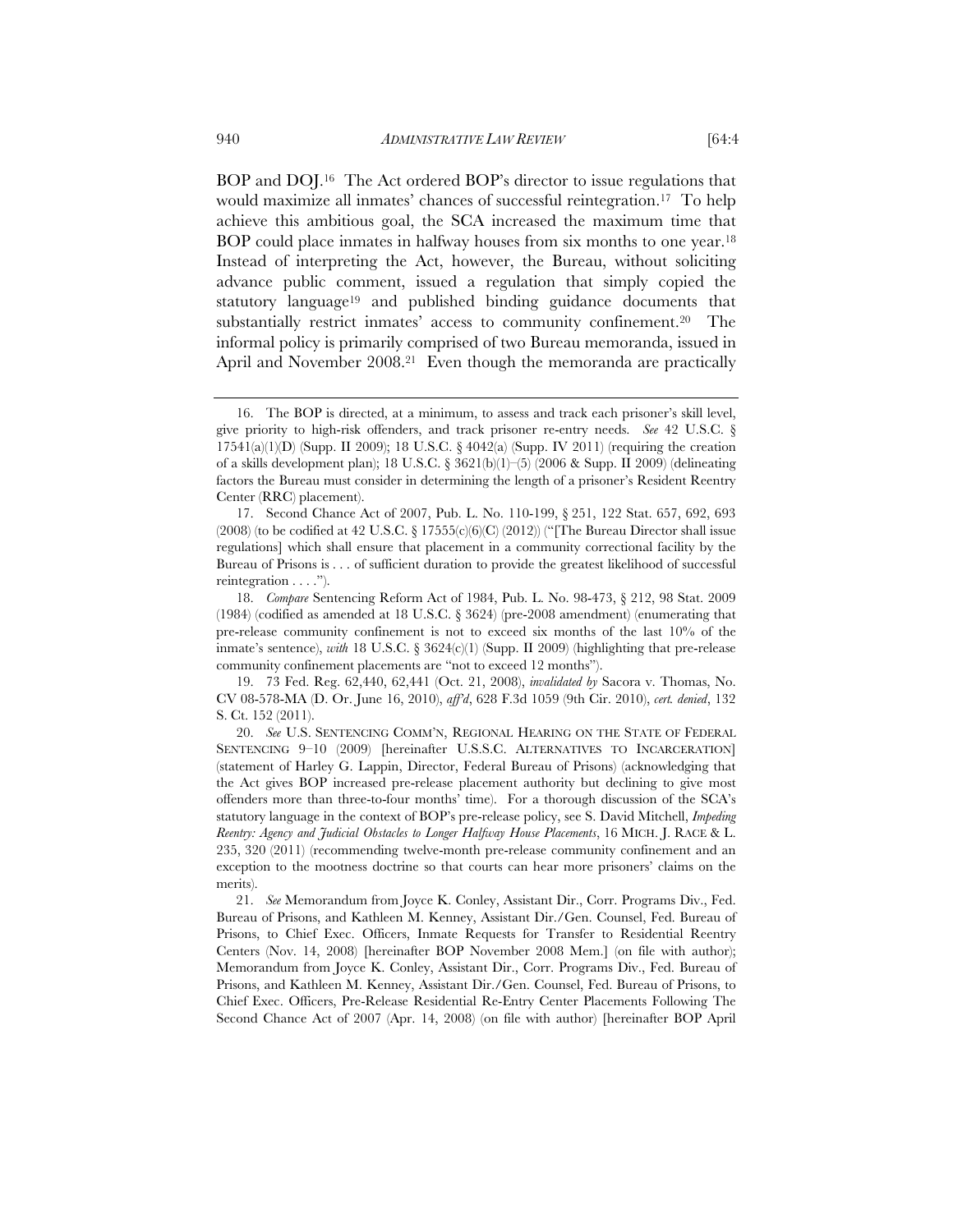BOP and DOJ.16 The Act ordered BOP's director to issue regulations that would maximize all inmates' chances of successful reintegration.17 To help achieve this ambitious goal, the SCA increased the maximum time that BOP could place inmates in halfway houses from six months to one year.18 Instead of interpreting the Act, however, the Bureau, without soliciting advance public comment, issued a regulation that simply copied the statutory language<sup>19</sup> and published binding guidance documents that substantially restrict inmates' access to community confinement.<sup>20</sup> The informal policy is primarily comprised of two Bureau memoranda, issued in April and November 2008.<sup>21</sup> Even though the memoranda are practically

 <sup>16.</sup> The BOP is directed, at a minimum, to assess and track each prisoner's skill level, give priority to high-risk offenders, and track prisoner re-entry needs. *See* 42 U.S.C. § 17541(a)(1)(D) (Supp. II 2009); 18 U.S.C.  $\frac{4042}{a}$  (Supp. IV 2011) (requiring the creation of a skills development plan); 18 U.S.C. § 3621(b)(1)–(5) (2006 & Supp. II 2009) (delineating factors the Bureau must consider in determining the length of a prisoner's Resident Reentry Center (RRC) placement).

 <sup>17.</sup> Second Chance Act of 2007, Pub. L. No. 110-199, § 251, 122 Stat. 657, 692, 693 (2008) (to be codified at 42 U.S.C. § 17555(c)(6)(C) (2012)) ("[The Bureau Director shall issue regulations] which shall ensure that placement in a community correctional facility by the Bureau of Prisons is . . . of sufficient duration to provide the greatest likelihood of successful reintegration . . . .").

 <sup>18.</sup> *Compare* Sentencing Reform Act of 1984, Pub. L. No. 98-473, § 212, 98 Stat. 2009 (1984) (codified as amended at 18 U.S.C. § 3624) (pre-2008 amendment) (enumerating that pre-release community confinement is not to exceed six months of the last 10% of the inmate's sentence), *with* 18 U.S.C. § 3624(c)(1) (Supp. II 2009) (highlighting that pre-release community confinement placements are "not to exceed 12 months").

 <sup>19. 73</sup> Fed. Reg. 62,440, 62,441 (Oct. 21, 2008), *invalidated by* Sacora v. Thomas, No. CV 08-578-MA (D. Or. June 16, 2010), *aff'd*, 628 F.3d 1059 (9th Cir. 2010), *cert. denied*, 132 S. Ct. 152 (2011).

 <sup>20.</sup> *See* U.S. SENTENCING COMM'N, REGIONAL HEARING ON THE STATE OF FEDERAL SENTENCING 9–10 (2009) [hereinafter U.S.S.C. ALTERNATIVES TO INCARCERATION] (statement of Harley G. Lappin, Director, Federal Bureau of Prisons) (acknowledging that the Act gives BOP increased pre-release placement authority but declining to give most offenders more than three-to-four months' time). For a thorough discussion of the SCA's statutory language in the context of BOP's pre-release policy, see S. David Mitchell, *Impeding Reentry: Agency and Judicial Obstacles to Longer Halfway House Placements*, 16 MICH. J. RACE & L. 235, 320 (2011) (recommending twelve-month pre-release community confinement and an exception to the mootness doctrine so that courts can hear more prisoners' claims on the merits).

 <sup>21.</sup> *See* Memorandum from Joyce K. Conley, Assistant Dir., Corr. Programs Div., Fed. Bureau of Prisons, and Kathleen M. Kenney, Assistant Dir./Gen. Counsel, Fed. Bureau of Prisons, to Chief Exec. Officers, Inmate Requests for Transfer to Residential Reentry Centers (Nov. 14, 2008) [hereinafter BOP November 2008 Mem.] (on file with author); Memorandum from Joyce K. Conley, Assistant Dir., Corr. Programs Div., Fed. Bureau of Prisons, and Kathleen M. Kenney, Assistant Dir./Gen. Counsel, Fed. Bureau of Prisons, to Chief Exec. Officers, Pre-Release Residential Re-Entry Center Placements Following The Second Chance Act of 2007 (Apr. 14, 2008) (on file with author) [hereinafter BOP April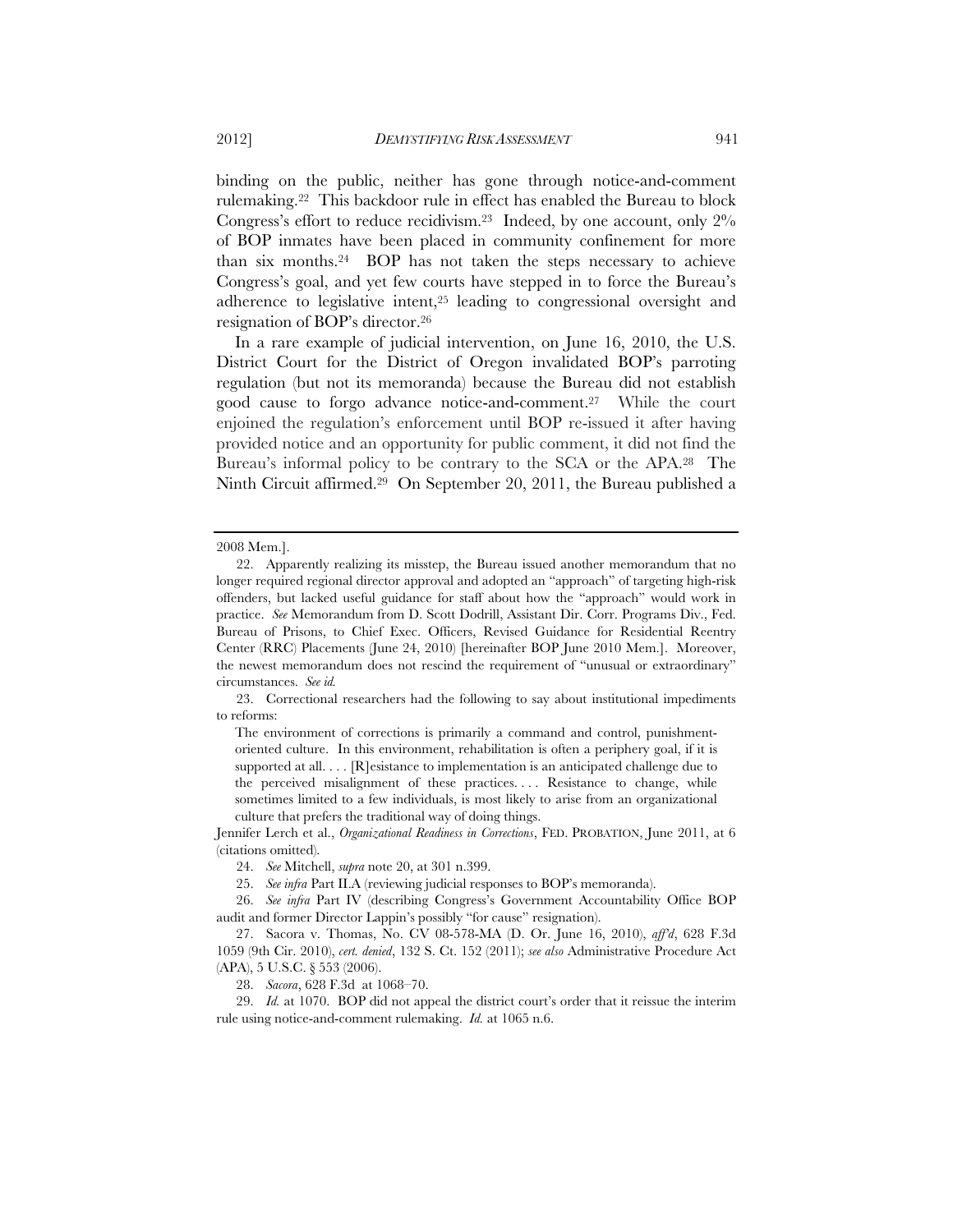binding on the public, neither has gone through notice-and-comment rulemaking.22 This backdoor rule in effect has enabled the Bureau to block Congress's effort to reduce recidivism.23 Indeed, by one account, only 2% of BOP inmates have been placed in community confinement for more than six months.24 BOP has not taken the steps necessary to achieve Congress's goal, and yet few courts have stepped in to force the Bureau's adherence to legislative intent,25 leading to congressional oversight and resignation of BOP's director.26

In a rare example of judicial intervention, on June 16, 2010, the U.S. District Court for the District of Oregon invalidated BOP's parroting regulation (but not its memoranda) because the Bureau did not establish good cause to forgo advance notice-and-comment.27 While the court enjoined the regulation's enforcement until BOP re-issued it after having provided notice and an opportunity for public comment, it did not find the Bureau's informal policy to be contrary to the SCA or the APA.28 The Ninth Circuit affirmed.29 On September 20, 2011, the Bureau published a

 23. Correctional researchers had the following to say about institutional impediments to reforms:

The environment of corrections is primarily a command and control, punishmentoriented culture. In this environment, rehabilitation is often a periphery goal, if it is supported at all. . . . [R]esistance to implementation is an anticipated challenge due to the perceived misalignment of these practices. . . . Resistance to change, while sometimes limited to a few individuals, is most likely to arise from an organizational culture that prefers the traditional way of doing things.

Jennifer Lerch et al., *Organizational Readiness in Corrections*, FED. PROBATION, June 2011, at 6 (citations omitted).

24. *See* Mitchell, *supra* note 20, at 301 n.399.

25. *See infra* Part II.A (reviewing judicial responses to BOP's memoranda).

 26. *See infra* Part IV (describing Congress's Government Accountability Office BOP audit and former Director Lappin's possibly "for cause" resignation).

 27. Sacora v. Thomas, No. CV 08-578-MA (D. Or. June 16, 2010), *aff'd*, 628 F.3d 1059 (9th Cir. 2010), *cert. denied*, 132 S. Ct. 152 (2011); *see also* Administrative Procedure Act (APA), 5 U.S.C. § 553 (2006).

28. *Sacora*, 628 F.3d at 1068–70.

 29. *Id.* at 1070. BOP did not appeal the district court's order that it reissue the interim rule using notice-and-comment rulemaking. *Id.* at 1065 n.6.

<sup>2008</sup> Mem.].

 <sup>22.</sup> Apparently realizing its misstep, the Bureau issued another memorandum that no longer required regional director approval and adopted an "approach" of targeting high-risk offenders, but lacked useful guidance for staff about how the "approach" would work in practice. *See* Memorandum from D. Scott Dodrill, Assistant Dir. Corr. Programs Div., Fed. Bureau of Prisons, to Chief Exec. Officers, Revised Guidance for Residential Reentry Center (RRC) Placements (June 24, 2010) [hereinafter BOP June 2010 Mem.]. Moreover, the newest memorandum does not rescind the requirement of "unusual or extraordinary" circumstances. *See id.*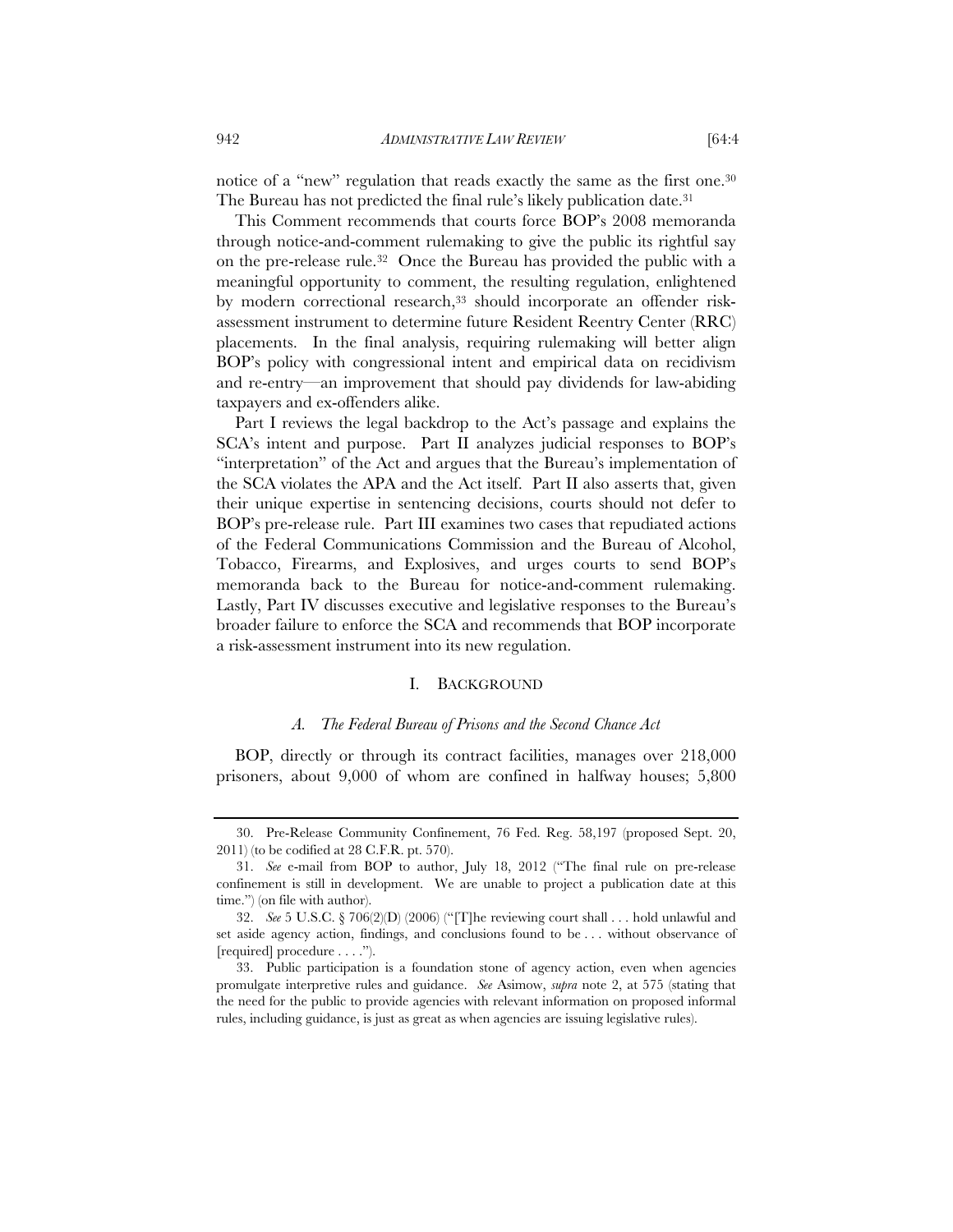notice of a "new" regulation that reads exactly the same as the first one.<sup>30</sup> The Bureau has not predicted the final rule's likely publication date.<sup>31</sup>

This Comment recommends that courts force BOP's 2008 memoranda through notice-and-comment rulemaking to give the public its rightful say on the pre-release rule.32 Once the Bureau has provided the public with a meaningful opportunity to comment, the resulting regulation, enlightened by modern correctional research,<sup>33</sup> should incorporate an offender riskassessment instrument to determine future Resident Reentry Center (RRC) placements. In the final analysis, requiring rulemaking will better align BOP's policy with congressional intent and empirical data on recidivism and re-entry—an improvement that should pay dividends for law-abiding taxpayers and ex-offenders alike.

Part I reviews the legal backdrop to the Act's passage and explains the SCA's intent and purpose. Part II analyzes judicial responses to BOP's "interpretation" of the Act and argues that the Bureau's implementation of the SCA violates the APA and the Act itself. Part II also asserts that, given their unique expertise in sentencing decisions, courts should not defer to BOP's pre-release rule. Part III examines two cases that repudiated actions of the Federal Communications Commission and the Bureau of Alcohol, Tobacco, Firearms, and Explosives, and urges courts to send BOP's memoranda back to the Bureau for notice-and-comment rulemaking. Lastly, Part IV discusses executive and legislative responses to the Bureau's broader failure to enforce the SCA and recommends that BOP incorporate a risk-assessment instrument into its new regulation.

## I. BACKGROUND

#### *A. The Federal Bureau of Prisons and the Second Chance Act*

BOP, directly or through its contract facilities, manages over 218,000 prisoners, about 9,000 of whom are confined in halfway houses; 5,800

 <sup>30.</sup> Pre-Release Community Confinement, 76 Fed. Reg. 58,197 (proposed Sept. 20, 2011) (to be codified at 28 C.F.R. pt. 570).

 <sup>31.</sup> *See* e-mail from BOP to author, July 18, 2012 ("The final rule on pre-release confinement is still in development. We are unable to project a publication date at this time.") (on file with author).

 <sup>32.</sup> *See* 5 U.S.C. § 706(2)(D) (2006) ("[T]he reviewing court shall . . . hold unlawful and set aside agency action, findings, and conclusions found to be . . . without observance of [required] procedure . . . .").

 <sup>33.</sup> Public participation is a foundation stone of agency action, even when agencies promulgate interpretive rules and guidance. *See* Asimow, *supra* note 2, at 575 (stating that the need for the public to provide agencies with relevant information on proposed informal rules, including guidance, is just as great as when agencies are issuing legislative rules).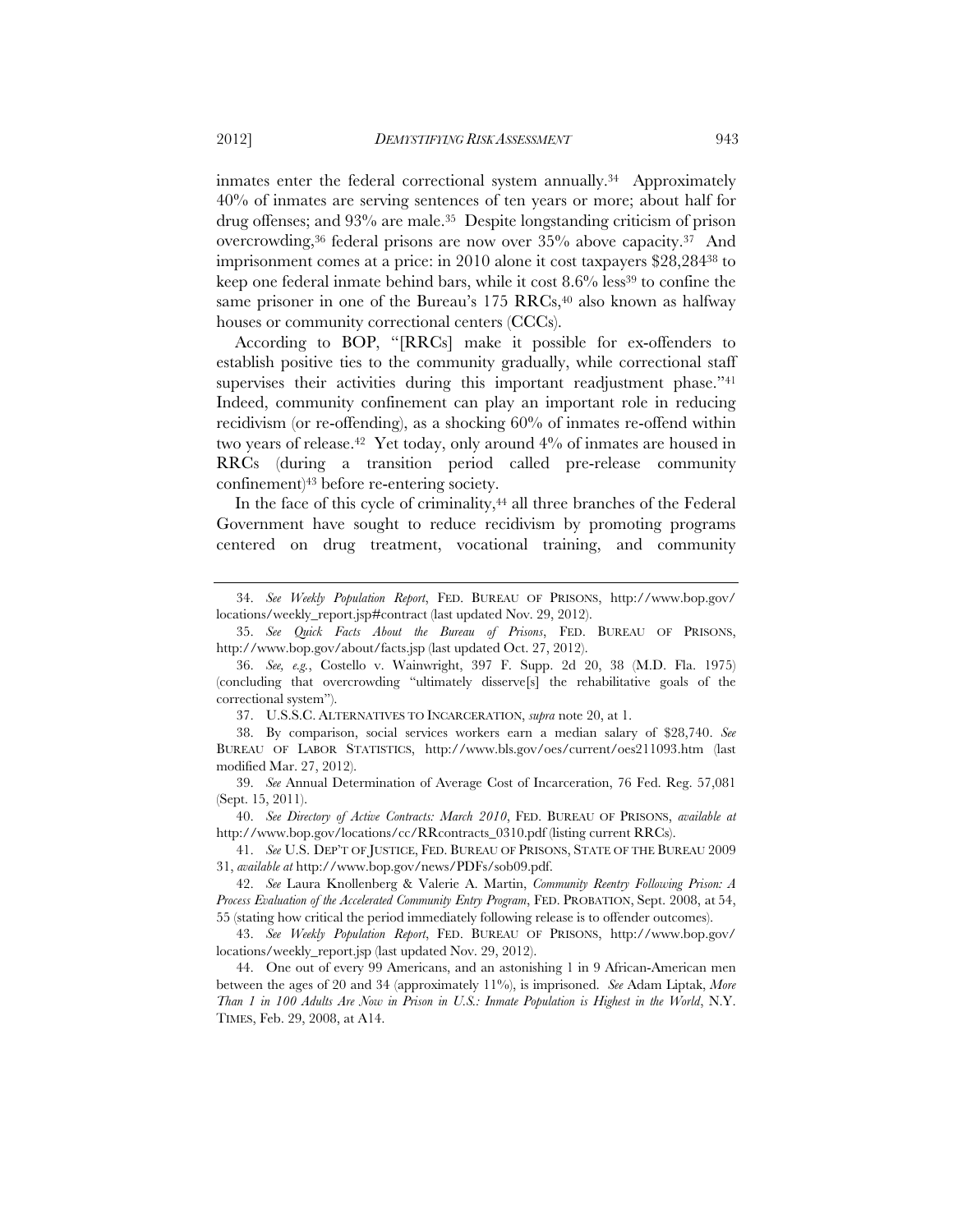inmates enter the federal correctional system annually.<sup>34</sup> Approximately 40% of inmates are serving sentences of ten years or more; about half for drug offenses; and 93% are male.35 Despite longstanding criticism of prison overcrowding,36 federal prisons are now over 35% above capacity.37 And imprisonment comes at a price: in 2010 alone it cost taxpayers \$28,28438 to keep one federal inmate behind bars, while it cost 8.6% less<sup>39</sup> to confine the same prisoner in one of the Bureau's  $175$  RRCs,<sup>40</sup> also known as halfway houses or community correctional centers (CCCs).

According to BOP, "[RRCs] make it possible for ex-offenders to establish positive ties to the community gradually, while correctional staff supervises their activities during this important readjustment phase."<sup>41</sup> Indeed, community confinement can play an important role in reducing recidivism (or re-offending), as a shocking 60% of inmates re-offend within two years of release.<sup>42</sup> Yet today, only around 4% of inmates are housed in RRCs (during a transition period called pre-release community confinement)43 before re-entering society.

In the face of this cycle of criminality,<sup>44</sup> all three branches of the Federal Government have sought to reduce recidivism by promoting programs centered on drug treatment, vocational training, and community

37. U.S.S.C. ALTERNATIVES TO INCARCERATION, *supra* note 20, at 1.

 <sup>34.</sup> *See Weekly Population Report*, FED. BUREAU OF PRISONS, http://www.bop.gov/ locations/weekly\_report.jsp#contract (last updated Nov. 29, 2012).

 <sup>35.</sup> *See Quick Facts About the Bureau of Prisons*, FED. BUREAU OF PRISONS, http://www.bop.gov/about/facts.jsp (last updated Oct. 27, 2012).

 <sup>36.</sup> *See, e.g.*, Costello v. Wainwright, 397 F. Supp. 2d 20, 38 (M.D. Fla. 1975) (concluding that overcrowding "ultimately disserve[s] the rehabilitative goals of the correctional system").

 <sup>38.</sup> By comparison, social services workers earn a median salary of \$28,740. *See* BUREAU OF LABOR STATISTICS, http://www.bls.gov/oes/current/oes211093.htm (last modified Mar. 27, 2012).

 <sup>39.</sup> *See* Annual Determination of Average Cost of Incarceration, 76 Fed. Reg. 57,081 (Sept. 15, 2011).

 <sup>40.</sup> *See Directory of Active Contracts: March 2010*, FED. BUREAU OF PRISONS, *available at*  http://www.bop.gov/locations/cc/RRcontracts\_0310.pdf (listing current RRCs).

 <sup>41.</sup> *See* U.S. DEP'T OF JUSTICE, FED. BUREAU OF PRISONS, STATE OF THE BUREAU 2009 31, *available at* http://www.bop.gov/news/PDFs/sob09.pdf.

 <sup>42.</sup> *See* Laura Knollenberg & Valerie A. Martin, *Community Reentry Following Prison: A Process Evaluation of the Accelerated Community Entry Program*, FED. PROBATION, Sept. 2008, at 54, 55 (stating how critical the period immediately following release is to offender outcomes).

 <sup>43.</sup> *See Weekly Population Report*, FED. BUREAU OF PRISONS, http://www.bop.gov/ locations/weekly\_report.jsp (last updated Nov. 29, 2012).

 <sup>44.</sup> One out of every 99 Americans, and an astonishing 1 in 9 African-American men between the ages of 20 and 34 (approximately 11%), is imprisoned. *See* Adam Liptak, *More Than 1 in 100 Adults Are Now in Prison in U.S.: Inmate Population is Highest in the World*, N.Y. TIMES, Feb. 29, 2008, at A14.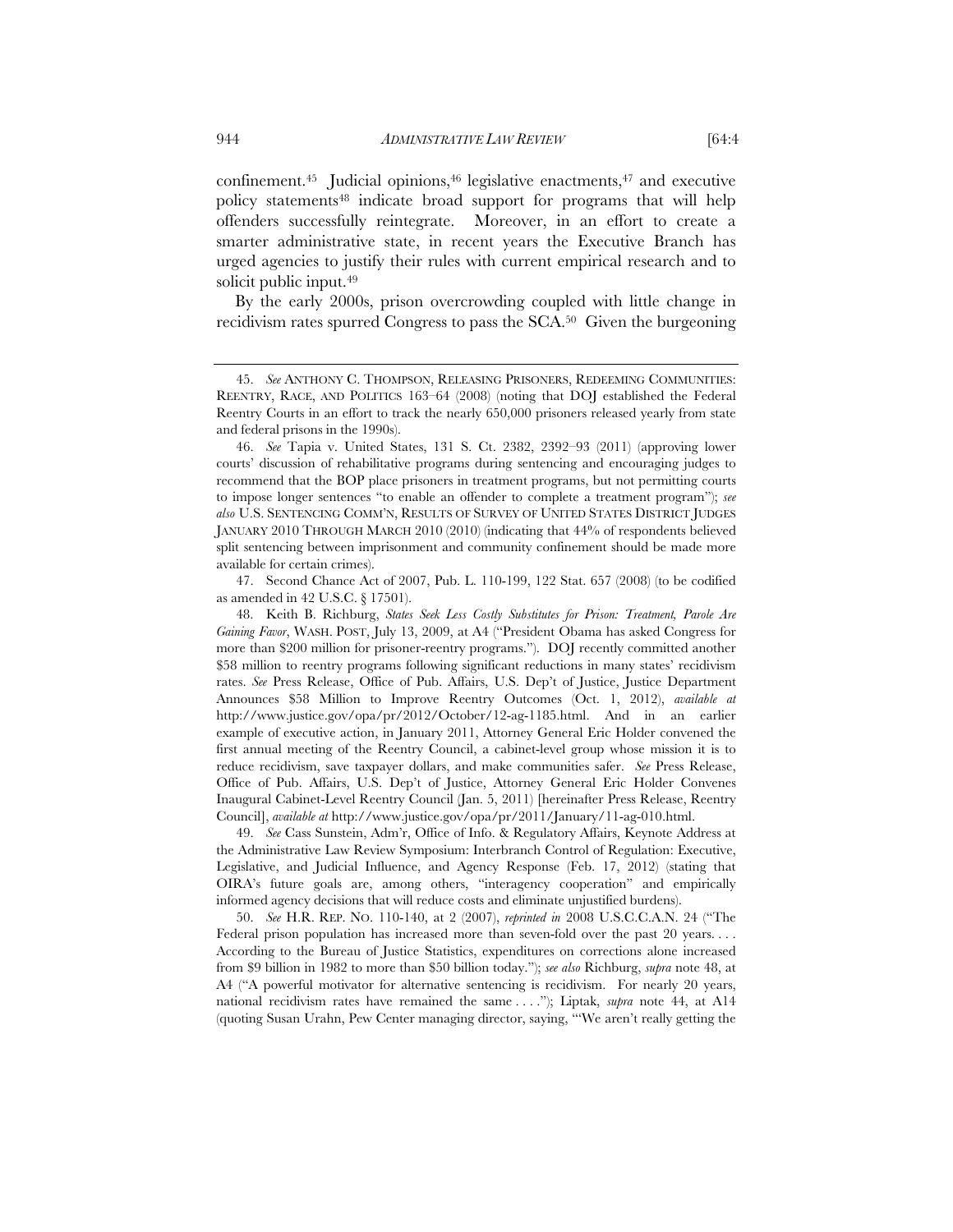confinement.45 Judicial opinions,46 legislative enactments,47 and executive policy statements48 indicate broad support for programs that will help offenders successfully reintegrate. Moreover, in an effort to create a smarter administrative state, in recent years the Executive Branch has urged agencies to justify their rules with current empirical research and to solicit public input.<sup>49</sup>

By the early 2000s, prison overcrowding coupled with little change in recidivism rates spurred Congress to pass the SCA.50 Given the burgeoning

 47. Second Chance Act of 2007, Pub. L. 110-199, 122 Stat. 657 (2008) (to be codified as amended in 42 U.S.C. § 17501).

 48. Keith B. Richburg, *States Seek Less Costly Substitutes for Prison: Treatment, Parole Are Gaining Favor*, WASH. POST, July 13, 2009, at A4 ("President Obama has asked Congress for more than \$200 million for prisoner-reentry programs."). DOJ recently committed another \$58 million to reentry programs following significant reductions in many states' recidivism rates. *See* Press Release, Office of Pub. Affairs, U.S. Dep't of Justice, Justice Department Announces \$58 Million to Improve Reentry Outcomes (Oct. 1, 2012), *available at*  http://www.justice.gov/opa/pr/2012/October/12-ag-1185.html. And in an earlier example of executive action, in January 2011, Attorney General Eric Holder convened the first annual meeting of the Reentry Council, a cabinet-level group whose mission it is to reduce recidivism, save taxpayer dollars, and make communities safer. *See* Press Release, Office of Pub. Affairs, U.S. Dep't of Justice, Attorney General Eric Holder Convenes Inaugural Cabinet-Level Reentry Council (Jan. 5, 2011) [hereinafter Press Release, Reentry Council], *available at* http://www.justice.gov/opa/pr/2011/January/11-ag-010.html.

 49. *See* Cass Sunstein, Adm'r, Office of Info. & Regulatory Affairs, Keynote Address at the Administrative Law Review Symposium: Interbranch Control of Regulation: Executive, Legislative, and Judicial Influence, and Agency Response (Feb. 17, 2012) (stating that OIRA's future goals are, among others, "interagency cooperation" and empirically informed agency decisions that will reduce costs and eliminate unjustified burdens).

 50. *See* H.R. REP. NO. 110-140, at 2 (2007), *reprinted in* 2008 U.S.C.C.A.N. 24 ("The Federal prison population has increased more than seven-fold over the past 20 years.... According to the Bureau of Justice Statistics, expenditures on corrections alone increased from \$9 billion in 1982 to more than \$50 billion today."); *see also* Richburg, *supra* note 48, at A4 ("A powerful motivator for alternative sentencing is recidivism. For nearly 20 years, national recidivism rates have remained the same . . . ."); Liptak, *supra* note 44, at A14 (quoting Susan Urahn, Pew Center managing director, saying, "'We aren't really getting the

 <sup>45.</sup> *See* ANTHONY C. THOMPSON, RELEASING PRISONERS, REDEEMING COMMUNITIES: REENTRY, RACE, AND POLITICS 163–64 (2008) (noting that DOJ established the Federal Reentry Courts in an effort to track the nearly 650,000 prisoners released yearly from state and federal prisons in the 1990s).

 <sup>46.</sup> *See* Tapia v. United States, 131 S. Ct. 2382, 2392–93 (2011) (approving lower courts' discussion of rehabilitative programs during sentencing and encouraging judges to recommend that the BOP place prisoners in treatment programs, but not permitting courts to impose longer sentences "to enable an offender to complete a treatment program"); *see also* U.S. SENTENCING COMM'N, RESULTS OF SURVEY OF UNITED STATES DISTRICT JUDGES JANUARY 2010 THROUGH MARCH 2010 (2010) (indicating that 44% of respondents believed split sentencing between imprisonment and community confinement should be made more available for certain crimes).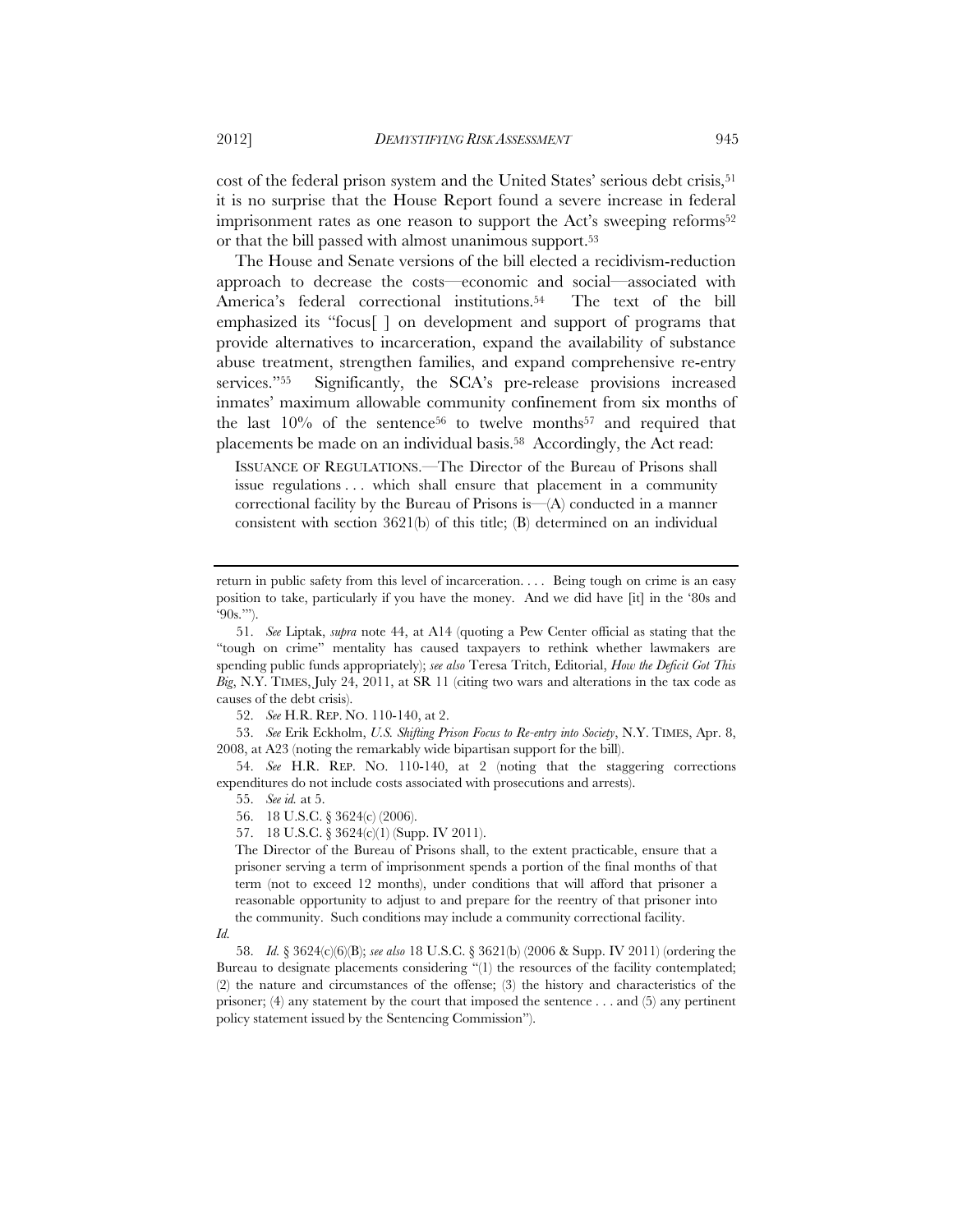cost of the federal prison system and the United States' serious debt crisis,<sup>51</sup> it is no surprise that the House Report found a severe increase in federal imprisonment rates as one reason to support the Act's sweeping reforms<sup>52</sup> or that the bill passed with almost unanimous support.53

The House and Senate versions of the bill elected a recidivism-reduction approach to decrease the costs—economic and social—associated with America's federal correctional institutions.<sup>54</sup> The text of the bill emphasized its "focus[ ] on development and support of programs that provide alternatives to incarceration, expand the availability of substance abuse treatment, strengthen families, and expand comprehensive re-entry services."55 Significantly, the SCA's pre-release provisions increased inmates' maximum allowable community confinement from six months of the last  $10\%$  of the sentence<sup>56</sup> to twelve months<sup>57</sup> and required that placements be made on an individual basis.58 Accordingly, the Act read:

ISSUANCE OF REGULATIONS.—The Director of the Bureau of Prisons shall issue regulations . . . which shall ensure that placement in a community correctional facility by the Bureau of Prisons is— $(A)$  conducted in a manner consistent with section 3621(b) of this title; (B) determined on an individual

52. *See* H.R. REP. NO. 110-140, at 2.

 53. *See* Erik Eckholm, *U.S. Shifting Prison Focus to Re-entry into Society*, N.Y. TIMES, Apr. 8, 2008, at A23 (noting the remarkably wide bipartisan support for the bill).

 54. *See* H.R. REP. NO. 110-140, at 2 (noting that the staggering corrections expenditures do not include costs associated with prosecutions and arrests).

55. *See id.* at 5.

57. 18 U.S.C. § 3624(c)(1) (Supp. IV 2011).

The Director of the Bureau of Prisons shall, to the extent practicable, ensure that a prisoner serving a term of imprisonment spends a portion of the final months of that term (not to exceed 12 months), under conditions that will afford that prisoner a reasonable opportunity to adjust to and prepare for the reentry of that prisoner into the community. Such conditions may include a community correctional facility.

*Id.*

 58. *Id.* § 3624(c)(6)(B); *see also* 18 U.S.C. § 3621(b) (2006 & Supp. IV 2011) (ordering the Bureau to designate placements considering "(1) the resources of the facility contemplated; (2) the nature and circumstances of the offense; (3) the history and characteristics of the prisoner; (4) any statement by the court that imposed the sentence . . . and (5) any pertinent policy statement issued by the Sentencing Commission").

return in public safety from this level of incarceration. . . . Being tough on crime is an easy position to take, particularly if you have the money. And we did have [it] in the '80s and  $90s$ .".

 <sup>51.</sup> *See* Liptak, *supra* note 44, at A14 (quoting a Pew Center official as stating that the "tough on crime" mentality has caused taxpayers to rethink whether lawmakers are spending public funds appropriately); *see also* Teresa Tritch, Editorial, *How the Deficit Got This Big*, N.Y. TIMES, July 24, 2011, at SR 11 (citing two wars and alterations in the tax code as causes of the debt crisis).

 <sup>56. 18</sup> U.S.C. § 3624(c) (2006).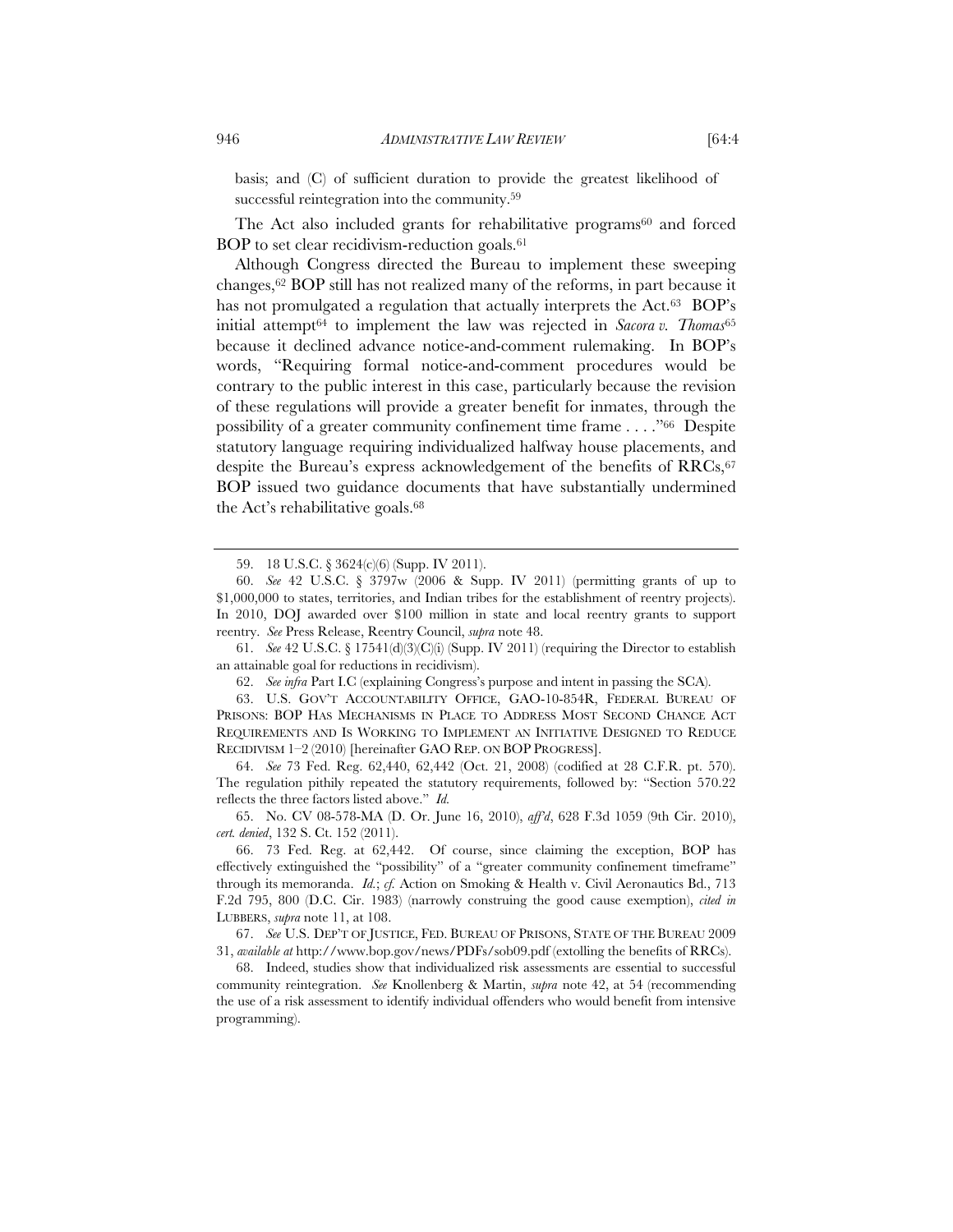basis; and (C) of sufficient duration to provide the greatest likelihood of successful reintegration into the community.59

The Act also included grants for rehabilitative programs $60$  and forced BOP to set clear recidivism-reduction goals.61

Although Congress directed the Bureau to implement these sweeping changes,62 BOP still has not realized many of the reforms, in part because it has not promulgated a regulation that actually interprets the Act.<sup>63</sup> BOP's initial attempt64 to implement the law was rejected in *Sacora v. Thomas*<sup>65</sup> because it declined advance notice-and-comment rulemaking. In BOP's words, "Requiring formal notice-and-comment procedures would be contrary to the public interest in this case, particularly because the revision of these regulations will provide a greater benefit for inmates, through the possibility of a greater community confinement time frame . . . ."66 Despite statutory language requiring individualized halfway house placements, and despite the Bureau's express acknowledgement of the benefits of RRCs,<sup>67</sup> BOP issued two guidance documents that have substantially undermined the Act's rehabilitative goals.68

 64. *See* 73 Fed. Reg. 62,440, 62,442 (Oct. 21, 2008) (codified at 28 C.F.R. pt. 570). The regulation pithily repeated the statutory requirements, followed by: "Section 570.22 reflects the three factors listed above." *Id.*

 <sup>59. 18</sup> U.S.C. § 3624(c)(6) (Supp. IV 2011).

 <sup>60.</sup> *See* 42 U.S.C. § 3797w (2006 & Supp. IV 2011) (permitting grants of up to \$1,000,000 to states, territories, and Indian tribes for the establishment of reentry projects). In 2010, DOJ awarded over \$100 million in state and local reentry grants to support reentry. *See* Press Release, Reentry Council, *supra* note 48.

<sup>61.</sup> *See* 42 U.S.C. § 17541(d)(3)(C)(i) (Supp. IV 2011) (requiring the Director to establish an attainable goal for reductions in recidivism).

 <sup>62.</sup> *See infra* Part I.C (explaining Congress's purpose and intent in passing the SCA).

 <sup>63.</sup> U.S. GOV'T ACCOUNTABILITY OFFICE, GAO-10-854R, FEDERAL BUREAU OF PRISONS: BOP HAS MECHANISMS IN PLACE TO ADDRESS MOST SECOND CHANCE ACT REQUIREMENTS AND IS WORKING TO IMPLEMENT AN INITIATIVE DESIGNED TO REDUCE RECIDIVISM 1–2 (2010) [hereinafter GAO REP. ON BOP PROGRESS].

 <sup>65.</sup> No. CV 08-578-MA (D. Or. June 16, 2010), *aff'd*, 628 F.3d 1059 (9th Cir. 2010), *cert. denied*, 132 S. Ct. 152 (2011).

 <sup>66. 73</sup> Fed. Reg. at 62,442. Of course, since claiming the exception, BOP has effectively extinguished the "possibility" of a "greater community confinement timeframe" through its memoranda. *Id.*; *cf.* Action on Smoking & Health v. Civil Aeronautics Bd., 713 F.2d 795, 800 (D.C. Cir. 1983) (narrowly construing the good cause exemption), *cited in* LUBBERS, *supra* note 11, at 108.

 <sup>67.</sup> *See* U.S. DEP'T OF JUSTICE, FED. BUREAU OF PRISONS, STATE OF THE BUREAU 2009 31, *available at* http://www.bop.gov/news/PDFs/sob09.pdf (extolling the benefits of RRCs).

 <sup>68.</sup> Indeed, studies show that individualized risk assessments are essential to successful community reintegration. *See* Knollenberg & Martin, *supra* note 42, at 54 (recommending the use of a risk assessment to identify individual offenders who would benefit from intensive programming).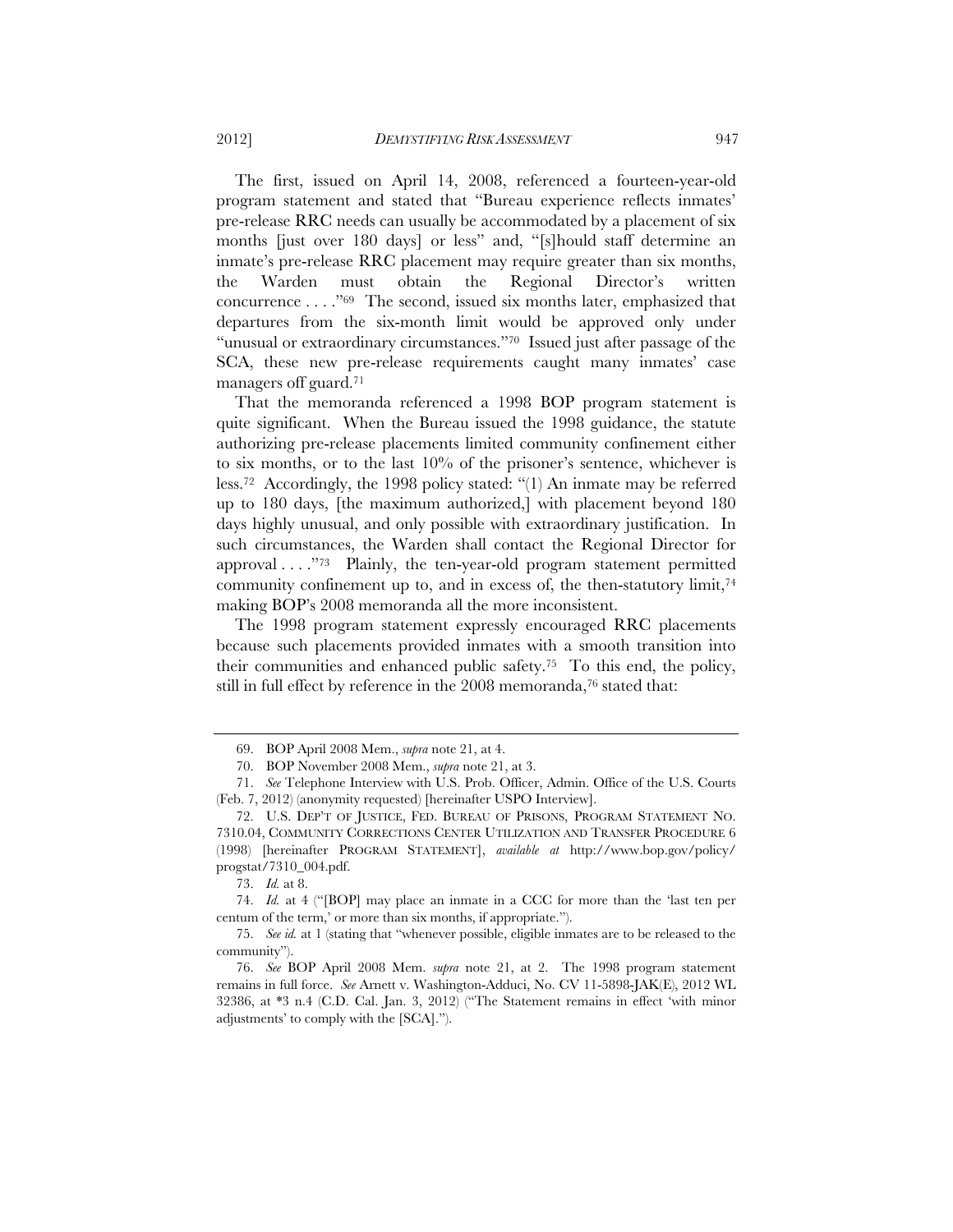The first, issued on April 14, 2008, referenced a fourteen-year-old program statement and stated that "Bureau experience reflects inmates' pre-release RRC needs can usually be accommodated by a placement of six months [just over 180 days] or less" and, "[s]hould staff determine an inmate's pre-release RRC placement may require greater than six months, the Warden must obtain the Regional Director's written concurrence . . . ."69 The second, issued six months later, emphasized that departures from the six-month limit would be approved only under "unusual or extraordinary circumstances."<sup>70</sup> Issued just after passage of the SCA, these new pre-release requirements caught many inmates' case managers off guard.71

That the memoranda referenced a 1998 BOP program statement is quite significant. When the Bureau issued the 1998 guidance, the statute authorizing pre-release placements limited community confinement either to six months, or to the last  $10\%$  of the prisoner's sentence, whichever is less.72 Accordingly, the 1998 policy stated: "(1) An inmate may be referred up to 180 days, [the maximum authorized,] with placement beyond 180 days highly unusual, and only possible with extraordinary justification. In such circumstances, the Warden shall contact the Regional Director for approval . . . . "73 Plainly, the ten-year-old program statement permitted community confinement up to, and in excess of, the then-statutory limit,<sup>74</sup> making BOP's 2008 memoranda all the more inconsistent.

The 1998 program statement expressly encouraged RRC placements because such placements provided inmates with a smooth transition into their communities and enhanced public safety.75 To this end, the policy, still in full effect by reference in the 2008 memoranda,<sup>76</sup> stated that:

 <sup>69.</sup> BOP April 2008 Mem., *supra* note 21, at 4.

 <sup>70.</sup> BOP November 2008 Mem., *supra* note 21, at 3.

 <sup>71.</sup> *See* Telephone Interview with U.S. Prob. Officer, Admin. Office of the U.S. Courts (Feb. 7, 2012) (anonymity requested) [hereinafter USPO Interview].

 <sup>72.</sup> U.S. DEP'T OF JUSTICE, FED. BUREAU OF PRISONS, PROGRAM STATEMENT NO. 7310.04, COMMUNITY CORRECTIONS CENTER UTILIZATION AND TRANSFER PROCEDURE 6 (1998) [hereinafter PROGRAM STATEMENT], *available at* http://www.bop.gov/policy/ progstat/7310\_004.pdf.

 <sup>73.</sup> *Id.* at 8.

 <sup>74.</sup> *Id.* at 4 ("[BOP] may place an inmate in a CCC for more than the 'last ten per centum of the term,' or more than six months, if appropriate.").

 <sup>75.</sup> *See id.* at 1 (stating that "whenever possible, eligible inmates are to be released to the community").

 <sup>76.</sup> *See* BOP April 2008 Mem. *supra* note 21, at 2. The 1998 program statement remains in full force. *See* Arnett v. Washington-Adduci, No. CV 11-5898-JAK(E), 2012 WL 32386, at \*3 n.4 (C.D. Cal. Jan. 3, 2012) ("The Statement remains in effect 'with minor adjustments' to comply with the [SCA].").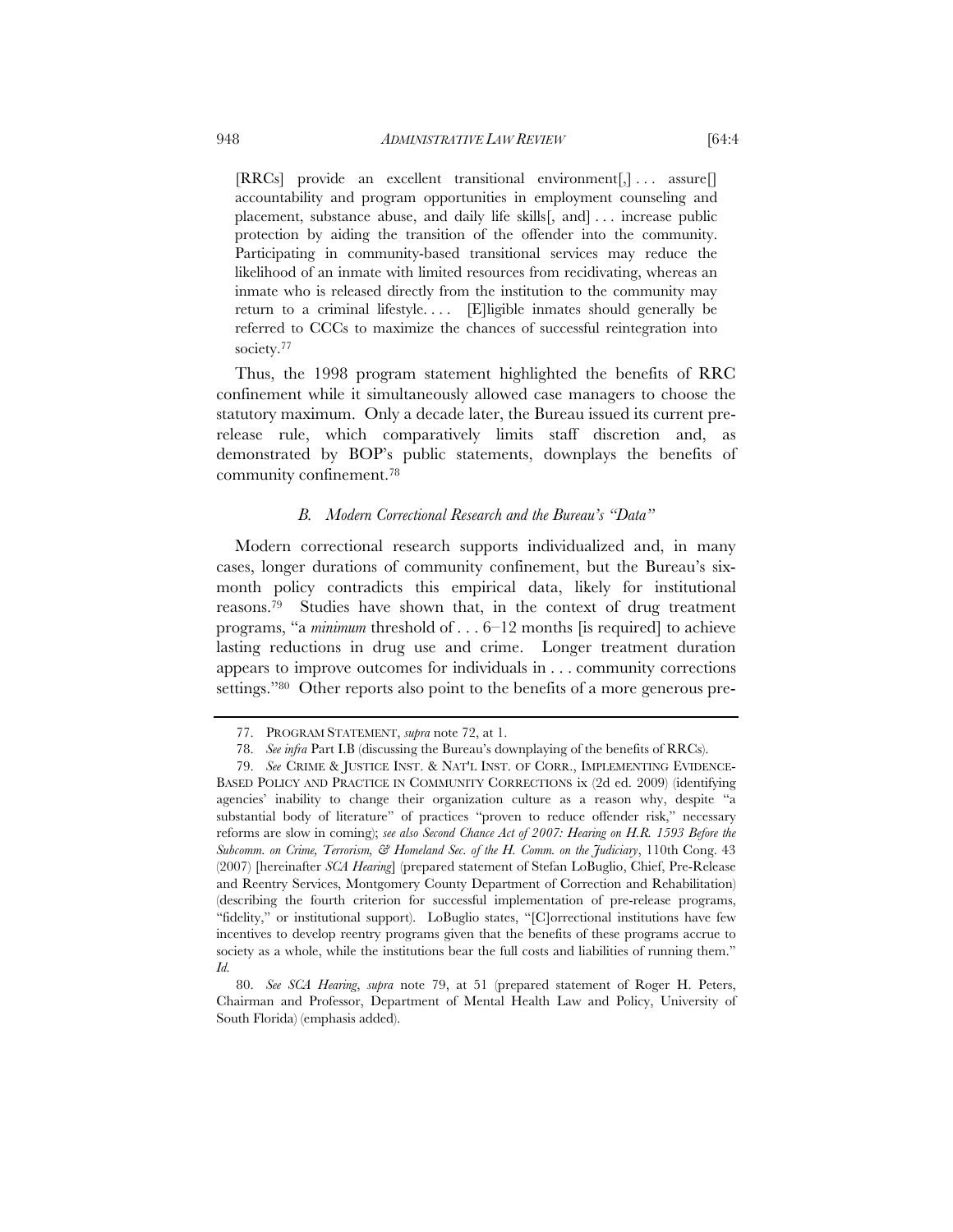$[RRCs]$  provide an excellent transitional environment $[,] \ldots$  assure $[]$ accountability and program opportunities in employment counseling and placement, substance abuse, and daily life skills[, and] . . . increase public protection by aiding the transition of the offender into the community. Participating in community-based transitional services may reduce the likelihood of an inmate with limited resources from recidivating, whereas an inmate who is released directly from the institution to the community may return to a criminal lifestyle. . . . [E]ligible inmates should generally be referred to CCCs to maximize the chances of successful reintegration into society.77

Thus, the 1998 program statement highlighted the benefits of RRC confinement while it simultaneously allowed case managers to choose the statutory maximum. Only a decade later, the Bureau issued its current prerelease rule, which comparatively limits staff discretion and, as demonstrated by BOP's public statements, downplays the benefits of community confinement.78

## *B. Modern Correctional Research and the Bureau's "Data"*

Modern correctional research supports individualized and, in many cases, longer durations of community confinement, but the Bureau's sixmonth policy contradicts this empirical data, likely for institutional reasons.79 Studies have shown that, in the context of drug treatment programs, "a *minimum* threshold of . . . 6–12 months [is required] to achieve lasting reductions in drug use and crime. Longer treatment duration appears to improve outcomes for individuals in . . . community corrections settings."80 Other reports also point to the benefits of a more generous pre-

 <sup>77.</sup> PROGRAM STATEMENT, *supra* note 72, at 1.

 <sup>78.</sup> *See infra* Part I.B (discussing the Bureau's downplaying of the benefits of RRCs).

 <sup>79.</sup> *See* CRIME & JUSTICE INST. & NAT'L INST. OF CORR., IMPLEMENTING EVIDENCE-BASED POLICY AND PRACTICE IN COMMUNITY CORRECTIONS ix (2d ed. 2009) (identifying agencies' inability to change their organization culture as a reason why, despite "a substantial body of literature" of practices "proven to reduce offender risk," necessary reforms are slow in coming); *see also Second Chance Act of 2007: Hearing on H.R. 1593 Before the Subcomm. on Crime, Terrorism, & Homeland Sec. of the H. Comm. on the Judiciary*, 110th Cong. 43 (2007) [hereinafter *SCA Hearing*] (prepared statement of Stefan LoBuglio, Chief, Pre-Release and Reentry Services, Montgomery County Department of Correction and Rehabilitation) (describing the fourth criterion for successful implementation of pre-release programs, "fidelity," or institutional support). LoBuglio states, "[C]orrectional institutions have few incentives to develop reentry programs given that the benefits of these programs accrue to society as a whole, while the institutions bear the full costs and liabilities of running them." *Id.*

 <sup>80.</sup> *See SCA Hearing*, *supra* note 79, at 51 (prepared statement of Roger H. Peters, Chairman and Professor, Department of Mental Health Law and Policy, University of South Florida) (emphasis added).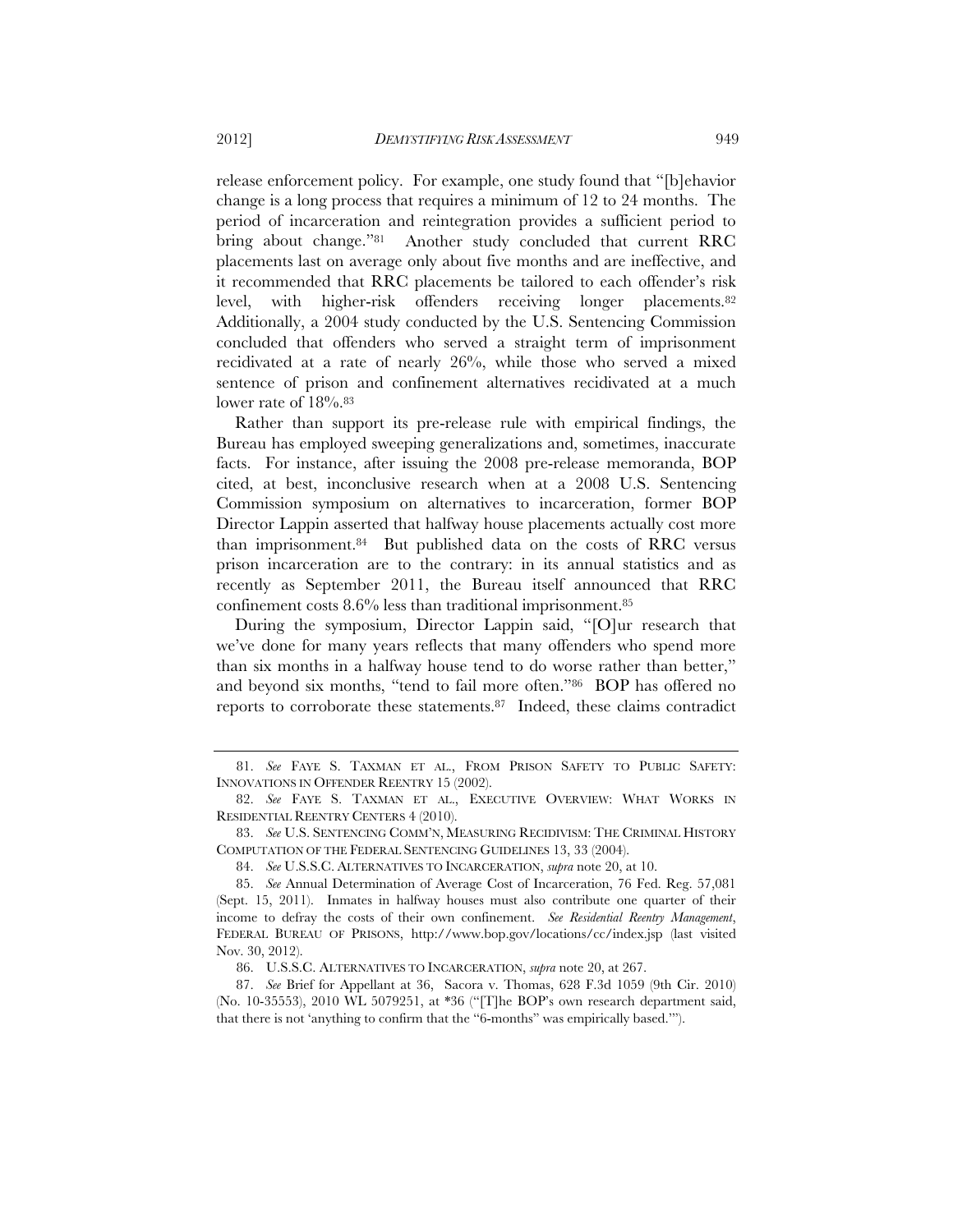release enforcement policy. For example, one study found that "[b]ehavior change is a long process that requires a minimum of 12 to 24 months. The period of incarceration and reintegration provides a sufficient period to bring about change."81 Another study concluded that current RRC placements last on average only about five months and are ineffective, and it recommended that RRC placements be tailored to each offender's risk level, with higher-risk offenders receiving longer placements.82 Additionally, a 2004 study conducted by the U.S. Sentencing Commission concluded that offenders who served a straight term of imprisonment recidivated at a rate of nearly 26%, while those who served a mixed sentence of prison and confinement alternatives recidivated at a much lower rate of  $18\%$ .<sup>83</sup>

Rather than support its pre-release rule with empirical findings, the Bureau has employed sweeping generalizations and, sometimes, inaccurate facts. For instance, after issuing the 2008 pre-release memoranda, BOP cited, at best, inconclusive research when at a 2008 U.S. Sentencing Commission symposium on alternatives to incarceration, former BOP Director Lappin asserted that halfway house placements actually cost more than imprisonment.84 But published data on the costs of RRC versus prison incarceration are to the contrary: in its annual statistics and as recently as September 2011, the Bureau itself announced that RRC confinement costs 8.6% less than traditional imprisonment.85

During the symposium, Director Lappin said, "[O]ur research that we've done for many years reflects that many offenders who spend more than six months in a halfway house tend to do worse rather than better," and beyond six months, "tend to fail more often."86 BOP has offered no reports to corroborate these statements.87 Indeed, these claims contradict

 <sup>81.</sup> *See* FAYE S. TAXMAN ET AL., FROM PRISON SAFETY TO PUBLIC SAFETY: INNOVATIONS IN OFFENDER REENTRY 15 (2002).

 <sup>82.</sup> *See* FAYE S. TAXMAN ET AL., EXECUTIVE OVERVIEW: WHAT WORKS IN RESIDENTIAL REENTRY CENTERS 4 (2010).

 <sup>83.</sup> *See* U.S. SENTENCING COMM'N, MEASURING RECIDIVISM: THE CRIMINAL HISTORY COMPUTATION OF THE FEDERAL SENTENCING GUIDELINES 13, 33 (2004).

 <sup>84.</sup> *See* U.S.S.C. ALTERNATIVES TO INCARCERATION, *supra* note 20, at 10.

 <sup>85.</sup> *See* Annual Determination of Average Cost of Incarceration, 76 Fed. Reg. 57,081 (Sept. 15, 2011). Inmates in halfway houses must also contribute one quarter of their income to defray the costs of their own confinement. *See Residential Reentry Management*, FEDERAL BUREAU OF PRISONS, http://www.bop.gov/locations/cc/index.jsp (last visited Nov. 30, 2012).

 <sup>86.</sup> U.S.S.C. ALTERNATIVES TO INCARCERATION, *supra* note 20, at 267.

 <sup>87.</sup> *See* Brief for Appellant at 36, Sacora v. Thomas, 628 F.3d 1059 (9th Cir. 2010) (No. 10-35553), 2010 WL 5079251, at \*36 ("[T]he BOP's own research department said, that there is not 'anything to confirm that the "6-months" was empirically based.'").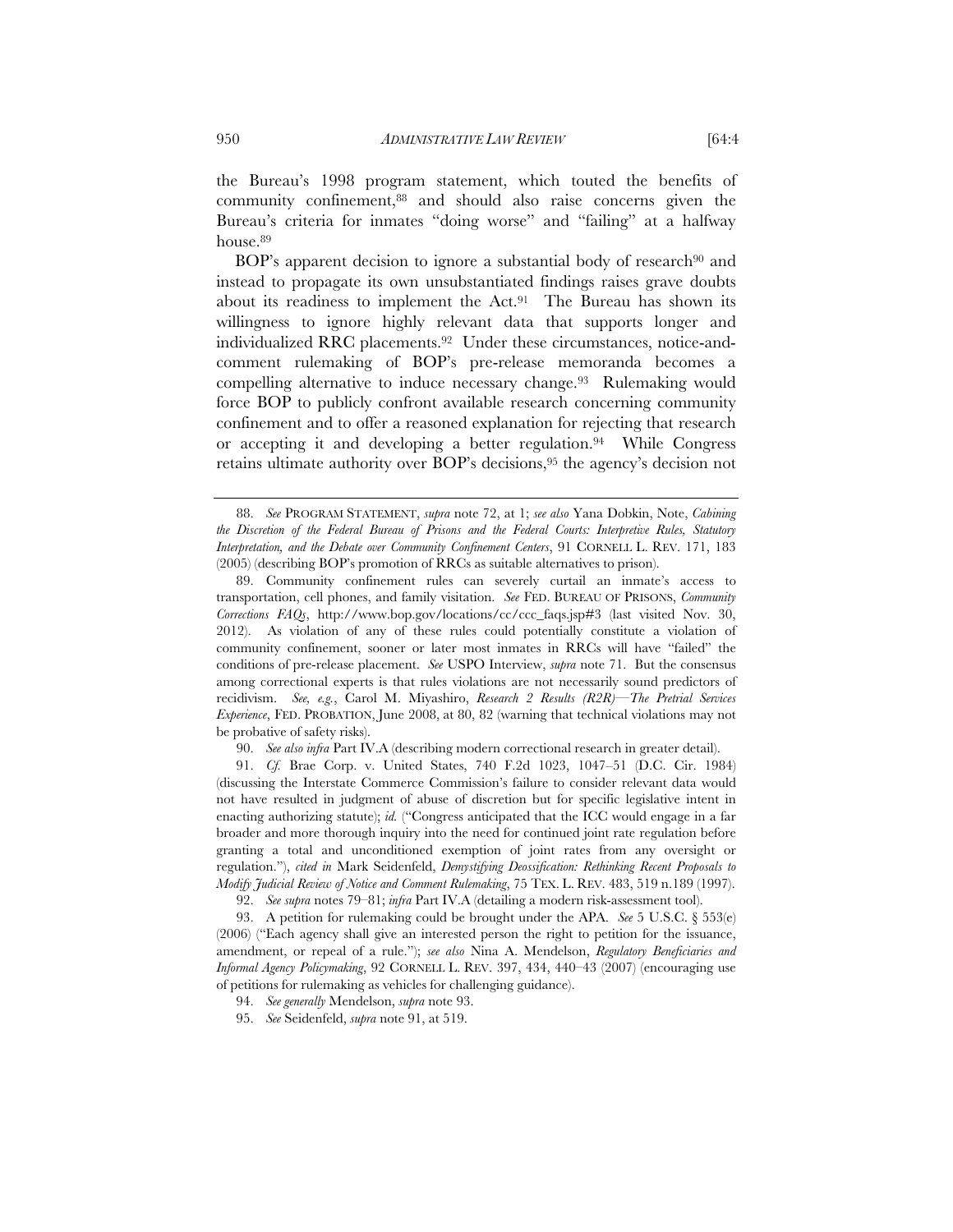the Bureau's 1998 program statement, which touted the benefits of community confinement,88 and should also raise concerns given the Bureau's criteria for inmates "doing worse" and "failing" at a halfway house.<sup>89</sup>

BOP's apparent decision to ignore a substantial body of research<sup>90</sup> and instead to propagate its own unsubstantiated findings raises grave doubts about its readiness to implement the Act.91 The Bureau has shown its willingness to ignore highly relevant data that supports longer and individualized RRC placements.92 Under these circumstances, notice-andcomment rulemaking of BOP's pre-release memoranda becomes a compelling alternative to induce necessary change.<sup>93</sup> Rulemaking would force BOP to publicly confront available research concerning community confinement and to offer a reasoned explanation for rejecting that research or accepting it and developing a better regulation.<sup>94</sup> While Congress retains ultimate authority over BOP's decisions,95 the agency's decision not

90. *See also infra* Part IV.A (describing modern correctional research in greater detail).

 91. *Cf.* Brae Corp. v. United States, 740 F.2d 1023, 1047–51 (D.C. Cir. 1984) (discussing the Interstate Commerce Commission's failure to consider relevant data would not have resulted in judgment of abuse of discretion but for specific legislative intent in enacting authorizing statute); *id.* ("Congress anticipated that the ICC would engage in a far broader and more thorough inquiry into the need for continued joint rate regulation before granting a total and unconditioned exemption of joint rates from any oversight or regulation."), *cited in* Mark Seidenfeld, *Demystifying Deossification: Rethinking Recent Proposals to Modify Judicial Review of Notice and Comment Rulemaking*, 75 TEX. L. REV. 483, 519 n.189 (1997).

92. *See supra* notes 79–81; *infra* Part IV.A (detailing a modern risk-assessment tool).

 93. A petition for rulemaking could be brought under the APA. *See* 5 U.S.C. § 553(e) (2006) ("Each agency shall give an interested person the right to petition for the issuance, amendment, or repeal of a rule."); *see also* Nina A. Mendelson, *Regulatory Beneficiaries and Informal Agency Policymaking*, 92 CORNELL L. REV. 397, 434, 440–43 (2007) (encouraging use of petitions for rulemaking as vehicles for challenging guidance).

 <sup>88.</sup> *See* PROGRAM STATEMENT, *supra* note 72, at 1; *see also* Yana Dobkin, Note, *Cabining the Discretion of the Federal Bureau of Prisons and the Federal Courts: Interpretive Rules, Statutory Interpretation, and the Debate over Community Confinement Centers*, 91 CORNELL L. REV. 171, 183 (2005) (describing BOP's promotion of RRCs as suitable alternatives to prison).

 <sup>89.</sup> Community confinement rules can severely curtail an inmate's access to transportation, cell phones, and family visitation. *See* FED. BUREAU OF PRISONS, *Community Corrections FAQs*, http://www.bop.gov/locations/cc/ccc\_faqs.jsp#3 (last visited Nov. 30, 2012). As violation of any of these rules could potentially constitute a violation of community confinement, sooner or later most inmates in RRCs will have "failed" the conditions of pre-release placement. *See* USPO Interview, *supra* note 71. But the consensus among correctional experts is that rules violations are not necessarily sound predictors of recidivism. *See, e.g.*, Carol M. Miyashiro, *Research 2 Results (R2R)—The Pretrial Services Experience*, FED. PROBATION, June 2008, at 80, 82 (warning that technical violations may not be probative of safety risks).

 <sup>94.</sup> *See generally* Mendelson, *supra* note 93.

 <sup>95.</sup> *See* Seidenfeld, *supra* note 91, at 519.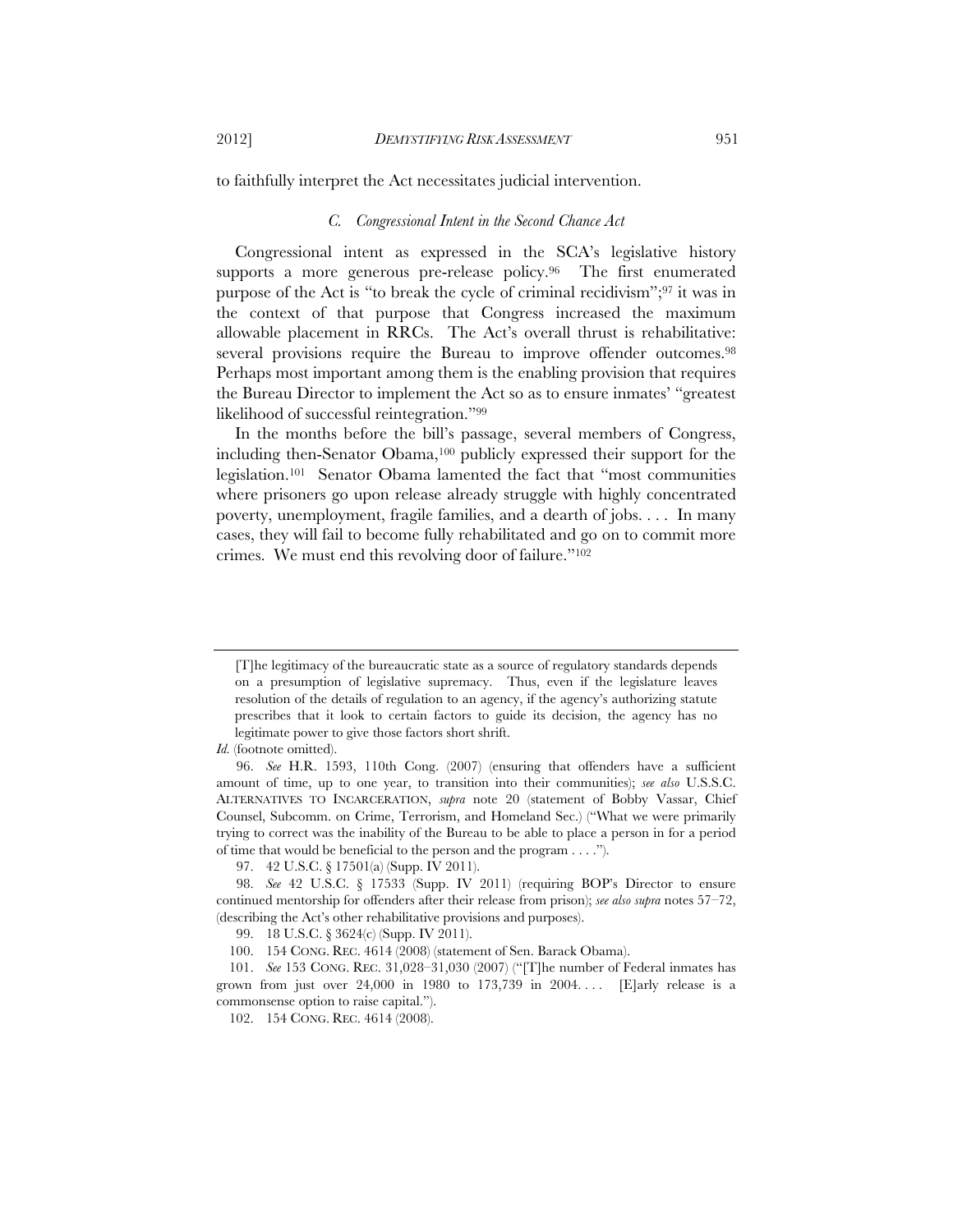to faithfully interpret the Act necessitates judicial intervention.

## *C. Congressional Intent in the Second Chance Act*

Congressional intent as expressed in the SCA's legislative history supports a more generous pre-release policy.<sup>96</sup> The first enumerated purpose of the Act is "to break the cycle of criminal recidivism";97 it was in the context of that purpose that Congress increased the maximum allowable placement in RRCs. The Act's overall thrust is rehabilitative: several provisions require the Bureau to improve offender outcomes.98 Perhaps most important among them is the enabling provision that requires the Bureau Director to implement the Act so as to ensure inmates' "greatest likelihood of successful reintegration."99

In the months before the bill's passage, several members of Congress, including then-Senator Obama,100 publicly expressed their support for the legislation.101 Senator Obama lamented the fact that "most communities where prisoners go upon release already struggle with highly concentrated poverty, unemployment, fragile families, and a dearth of jobs. . . . In many cases, they will fail to become fully rehabilitated and go on to commit more crimes. We must end this revolving door of failure."102

<sup>[</sup>T]he legitimacy of the bureaucratic state as a source of regulatory standards depends on a presumption of legislative supremacy. Thus, even if the legislature leaves resolution of the details of regulation to an agency, if the agency's authorizing statute prescribes that it look to certain factors to guide its decision, the agency has no legitimate power to give those factors short shrift.

*Id.* (footnote omitted).

 <sup>96.</sup> *See* H.R. 1593, 110th Cong. (2007) (ensuring that offenders have a sufficient amount of time, up to one year, to transition into their communities); *see also* U.S.S.C. ALTERNATIVES TO INCARCERATION, *supra* note 20 (statement of Bobby Vassar, Chief Counsel, Subcomm. on Crime, Terrorism, and Homeland Sec.) ("What we were primarily trying to correct was the inability of the Bureau to be able to place a person in for a period of time that would be beneficial to the person and the program . . . .").

 <sup>97. 42</sup> U.S.C. § 17501(a) (Supp. IV 2011).

 <sup>98.</sup> *See* 42 U.S.C. § 17533 (Supp. IV 2011) (requiring BOP's Director to ensure continued mentorship for offenders after their release from prison); *see also supra* notes 57–72, (describing the Act's other rehabilitative provisions and purposes).

 <sup>99. 18</sup> U.S.C. § 3624(c) (Supp. IV 2011).

 <sup>100. 154</sup> CONG. REC. 4614 (2008) (statement of Sen. Barack Obama).

 <sup>101.</sup> *See* 153 CONG. REC. 31,028–31,030 (2007) ("[T]he number of Federal inmates has grown from just over  $24,000$  in 1980 to 173,739 in 2004.... [E]arly release is a commonsense option to raise capital.").

 <sup>102. 154</sup> CONG. REC. 4614 (2008).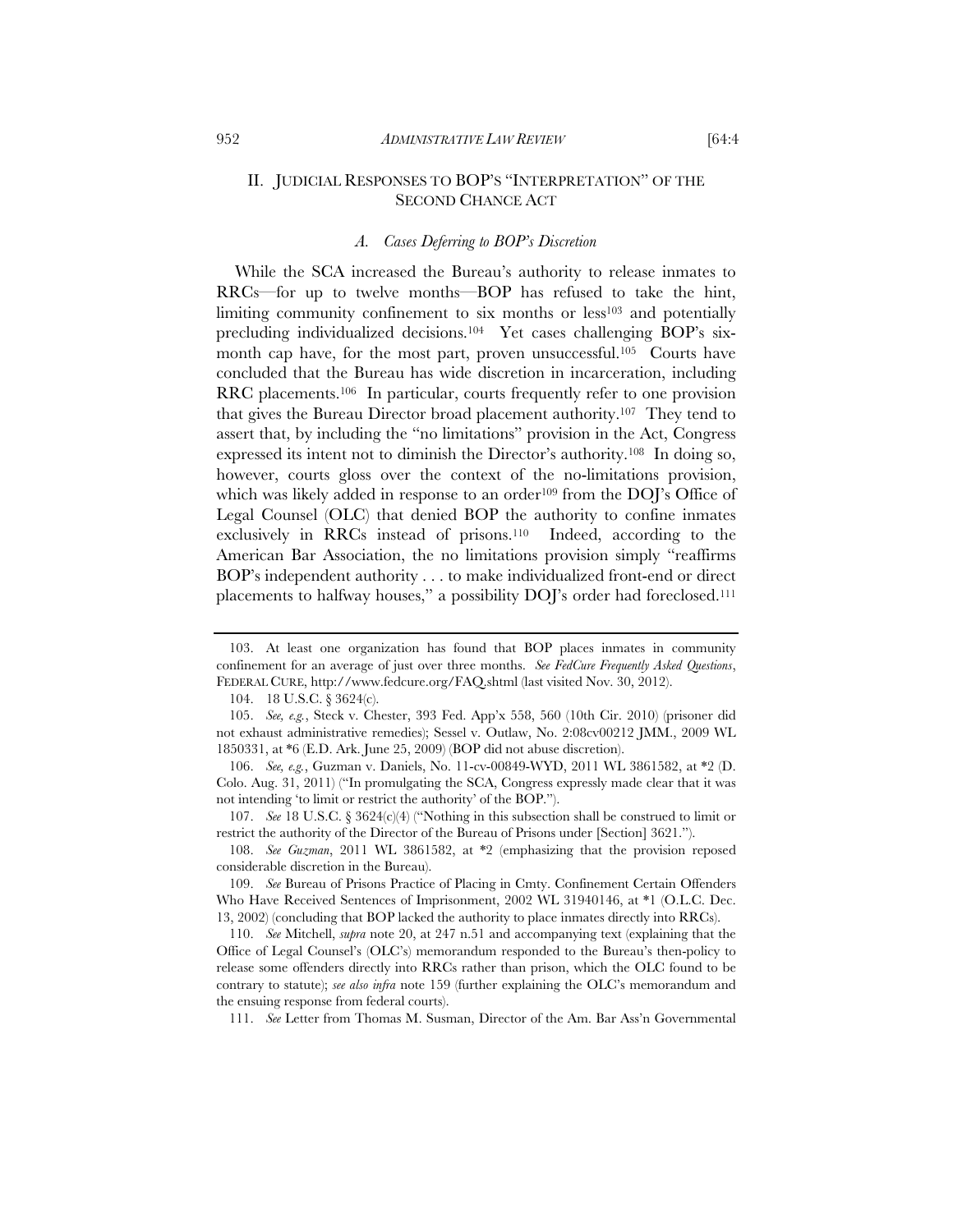# II. JUDICIAL RESPONSES TO BOP'S "INTERPRETATION" OF THE SECOND CHANCE ACT

#### *A. Cases Deferring to BOP's Discretion*

While the SCA increased the Bureau's authority to release inmates to RRCs—for up to twelve months—BOP has refused to take the hint, limiting community confinement to six months or less<sup>103</sup> and potentially precluding individualized decisions.104 Yet cases challenging BOP's sixmonth cap have, for the most part, proven unsuccessful.105 Courts have concluded that the Bureau has wide discretion in incarceration, including RRC placements.106 In particular, courts frequently refer to one provision that gives the Bureau Director broad placement authority.107 They tend to assert that, by including the "no limitations" provision in the Act, Congress expressed its intent not to diminish the Director's authority.108 In doing so, however, courts gloss over the context of the no-limitations provision, which was likely added in response to an order<sup>109</sup> from the DOJ's Office of Legal Counsel (OLC) that denied BOP the authority to confine inmates exclusively in RRCs instead of prisons.110 Indeed, according to the American Bar Association, the no limitations provision simply "reaffirms BOP's independent authority . . . to make individualized front-end or direct placements to halfway houses," a possibility DOJ's order had foreclosed.111

 107. *See* 18 U.S.C. § 3624(c)(4) ("Nothing in this subsection shall be construed to limit or restrict the authority of the Director of the Bureau of Prisons under [Section] 3621.").

 108. *See Guzman*, 2011 WL 3861582, at \*2 (emphasizing that the provision reposed considerable discretion in the Bureau).

 109. *See* Bureau of Prisons Practice of Placing in Cmty. Confinement Certain Offenders Who Have Received Sentences of Imprisonment, 2002 WL 31940146, at \*1 (O.L.C. Dec. 13, 2002) (concluding that BOP lacked the authority to place inmates directly into RRCs).

 110. *See* Mitchell, *supra* note 20, at 247 n.51 and accompanying text (explaining that the Office of Legal Counsel's (OLC's) memorandum responded to the Bureau's then-policy to release some offenders directly into RRCs rather than prison, which the OLC found to be contrary to statute); *see also infra* note 159 (further explaining the OLC's memorandum and the ensuing response from federal courts).

111. *See* Letter from Thomas M. Susman, Director of the Am. Bar Ass'n Governmental

 <sup>103.</sup> At least one organization has found that BOP places inmates in community confinement for an average of just over three months. *See FedCure Frequently Asked Questions*, FEDERAL CURE, http://www.fedcure.org/FAQ.shtml (last visited Nov. 30, 2012).

 <sup>104. 18</sup> U.S.C. § 3624(c).

 <sup>105.</sup> *See, e.g.*, Steck v. Chester, 393 Fed. App'x 558, 560 (10th Cir. 2010) (prisoner did not exhaust administrative remedies); Sessel v. Outlaw, No. 2:08cv00212 JMM., 2009 WL 1850331, at \*6 (E.D. Ark. June 25, 2009) (BOP did not abuse discretion).

 <sup>106.</sup> *See, e.g.*, Guzman v. Daniels, No. 11-cv-00849-WYD, 2011 WL 3861582, at \*2 (D. Colo. Aug. 31, 2011) ("In promulgating the SCA, Congress expressly made clear that it was not intending 'to limit or restrict the authority' of the BOP.").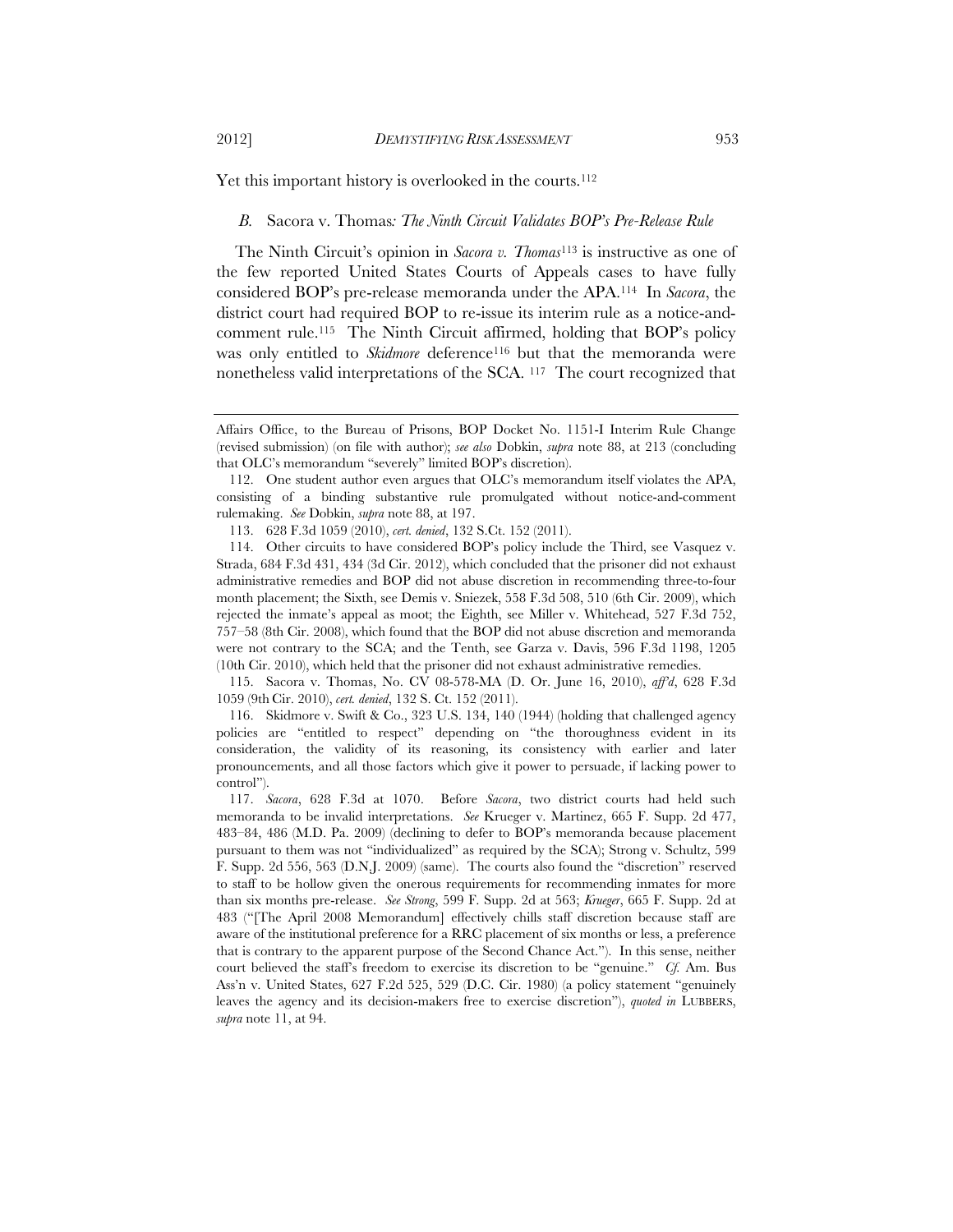Yet this important history is overlooked in the courts.<sup>112</sup>

#### *B.* Sacora v. Thomas*: The Ninth Circuit Validates BOP's Pre-Release Rule*

The Ninth Circuit's opinion in *Sacora v. Thomas*113 is instructive as one of the few reported United States Courts of Appeals cases to have fully considered BOP's pre-release memoranda under the APA.114 In *Sacora*, the district court had required BOP to re-issue its interim rule as a notice-andcomment rule.115 The Ninth Circuit affirmed, holding that BOP's policy was only entitled to *Skidmore* deference<sup>116</sup> but that the memoranda were nonetheless valid interpretations of the SCA. 117 The court recognized that

 115. Sacora v. Thomas, No. CV 08-578-MA (D. Or. June 16, 2010), *aff'd*, 628 F.3d 1059 (9th Cir. 2010), *cert. denied*, 132 S. Ct. 152 (2011).

 116. Skidmore v. Swift & Co., 323 U.S. 134, 140 (1944) (holding that challenged agency policies are "entitled to respect" depending on "the thoroughness evident in its consideration, the validity of its reasoning, its consistency with earlier and later pronouncements, and all those factors which give it power to persuade, if lacking power to control").

Affairs Office, to the Bureau of Prisons, BOP Docket No. 1151-I Interim Rule Change (revised submission) (on file with author); *see also* Dobkin, *supra* note 88, at 213 (concluding that OLC's memorandum "severely" limited BOP's discretion).

 <sup>112.</sup> One student author even argues that OLC's memorandum itself violates the APA, consisting of a binding substantive rule promulgated without notice-and-comment rulemaking. *See* Dobkin, *supra* note 88, at 197.

 <sup>113. 628</sup> F.3d 1059 (2010), *cert. denied*, 132 S.Ct. 152 (2011).

 <sup>114.</sup> Other circuits to have considered BOP's policy include the Third, see Vasquez v. Strada, 684 F.3d 431, 434 (3d Cir. 2012), which concluded that the prisoner did not exhaust administrative remedies and BOP did not abuse discretion in recommending three-to-four month placement; the Sixth, see Demis v. Sniezek, 558 F.3d 508, 510 (6th Cir. 2009), which rejected the inmate's appeal as moot; the Eighth, see Miller v. Whitehead, 527 F.3d 752, 757–58 (8th Cir. 2008), which found that the BOP did not abuse discretion and memoranda were not contrary to the SCA; and the Tenth, see Garza v. Davis, 596 F.3d 1198, 1205 (10th Cir. 2010), which held that the prisoner did not exhaust administrative remedies.

 <sup>117.</sup> *Sacora*, 628 F.3d at 1070.Before *Sacora*, two district courts had held such memoranda to be invalid interpretations. *See* Krueger v. Martinez, 665 F. Supp. 2d 477, 483–84, 486 (M.D. Pa. 2009) (declining to defer to BOP's memoranda because placement pursuant to them was not "individualized" as required by the SCA); Strong v. Schultz, 599 F. Supp. 2d 556, 563 (D.N.J. 2009) (same). The courts also found the "discretion" reserved to staff to be hollow given the onerous requirements for recommending inmates for more than six months pre-release. *See Strong*, 599 F. Supp. 2d at 563; *Krueger*, 665 F. Supp. 2d at 483 ("[The April 2008 Memorandum] effectively chills staff discretion because staff are aware of the institutional preference for a RRC placement of six months or less, a preference that is contrary to the apparent purpose of the Second Chance Act."). In this sense, neither court believed the staff's freedom to exercise its discretion to be "genuine." *Cf.* Am. Bus Ass'n v. United States, 627 F.2d 525, 529 (D.C. Cir. 1980) (a policy statement "genuinely leaves the agency and its decision-makers free to exercise discretion"), *quoted in* LUBBERS, *supra* note 11, at 94.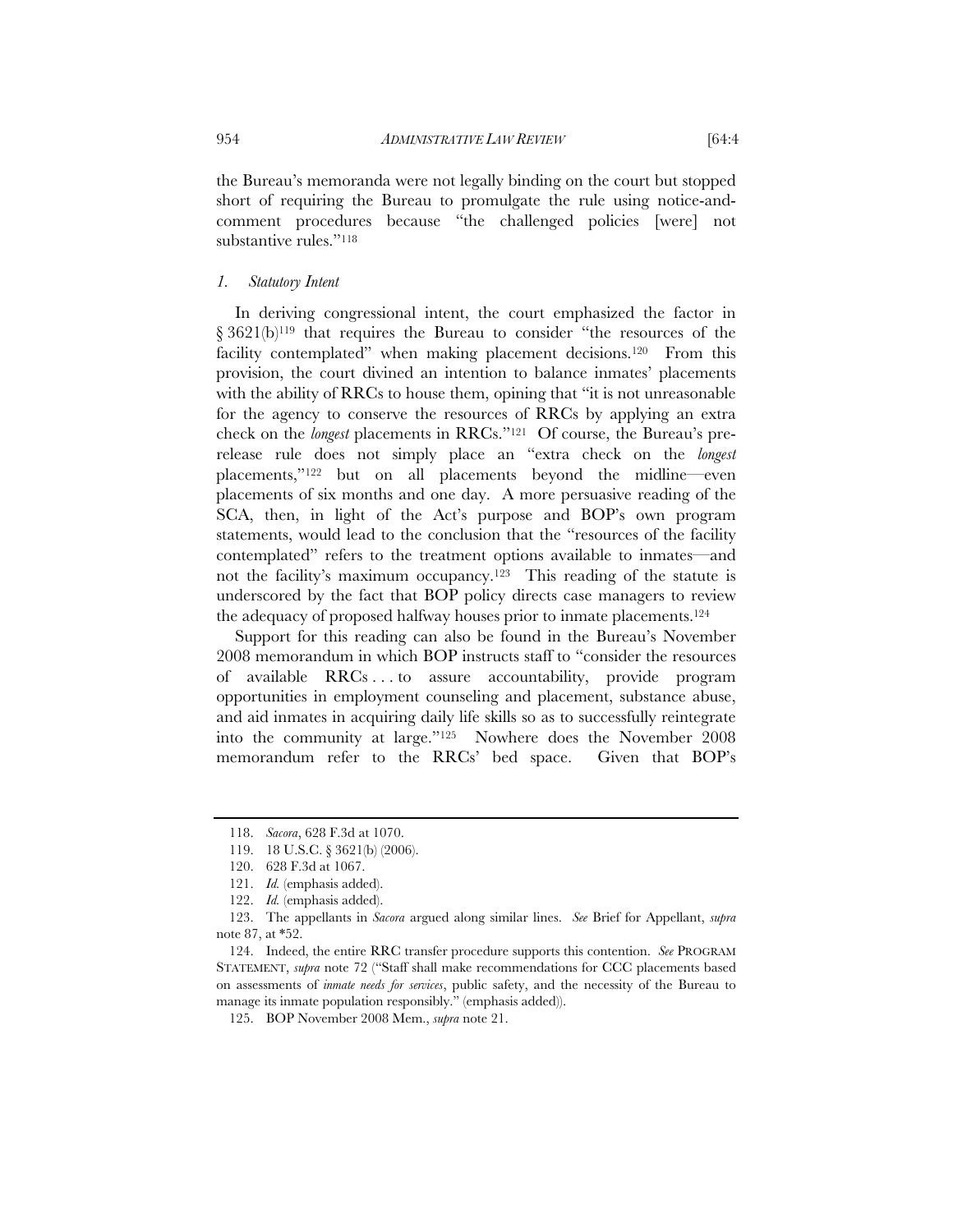the Bureau's memoranda were not legally binding on the court but stopped short of requiring the Bureau to promulgate the rule using notice-andcomment procedures because "the challenged policies [were] not substantive rules."<sup>118</sup>

## *1. Statutory Intent*

In deriving congressional intent, the court emphasized the factor in § 3621(b)<sup>119</sup> that requires the Bureau to consider "the resources of the facility contemplated" when making placement decisions.<sup>120</sup> From this provision, the court divined an intention to balance inmates' placements with the ability of RRCs to house them, opining that "it is not unreasonable for the agency to conserve the resources of RRCs by applying an extra check on the *longest* placements in RRCs."121 Of course, the Bureau's prerelease rule does not simply place an "extra check on the *longest* placements,"122 but on all placements beyond the midline—even placements of six months and one day. A more persuasive reading of the SCA, then, in light of the Act's purpose and BOP's own program statements, would lead to the conclusion that the "resources of the facility contemplated" refers to the treatment options available to inmates—and not the facility's maximum occupancy.123 This reading of the statute is underscored by the fact that BOP policy directs case managers to review the adequacy of proposed halfway houses prior to inmate placements.124

Support for this reading can also be found in the Bureau's November 2008 memorandum in which BOP instructs staff to "consider the resources of available RRCs . . . to assure accountability, provide program opportunities in employment counseling and placement, substance abuse, and aid inmates in acquiring daily life skills so as to successfully reintegrate into the community at large."125 Nowhere does the November 2008 memorandum refer to the RRCs' bed space. Given that BOP's

 <sup>118.</sup> *Sacora*, 628 F.3d at 1070.

 <sup>119. 18</sup> U.S.C. § 3621(b) (2006).

 <sup>120. 628</sup> F.3d at 1067.

 <sup>121.</sup> *Id.* (emphasis added).

 <sup>122.</sup> *Id.* (emphasis added).

 <sup>123.</sup> The appellants in *Sacora* argued along similar lines. *See* Brief for Appellant, *supra* note 87, at \*52.

 <sup>124.</sup> Indeed, the entire RRC transfer procedure supports this contention. *See* PROGRAM STATEMENT, *supra* note 72 ("Staff shall make recommendations for CCC placements based on assessments of *inmate needs for services*, public safety, and the necessity of the Bureau to manage its inmate population responsibly." (emphasis added)).

 <sup>125.</sup> BOP November 2008 Mem., *supra* note 21.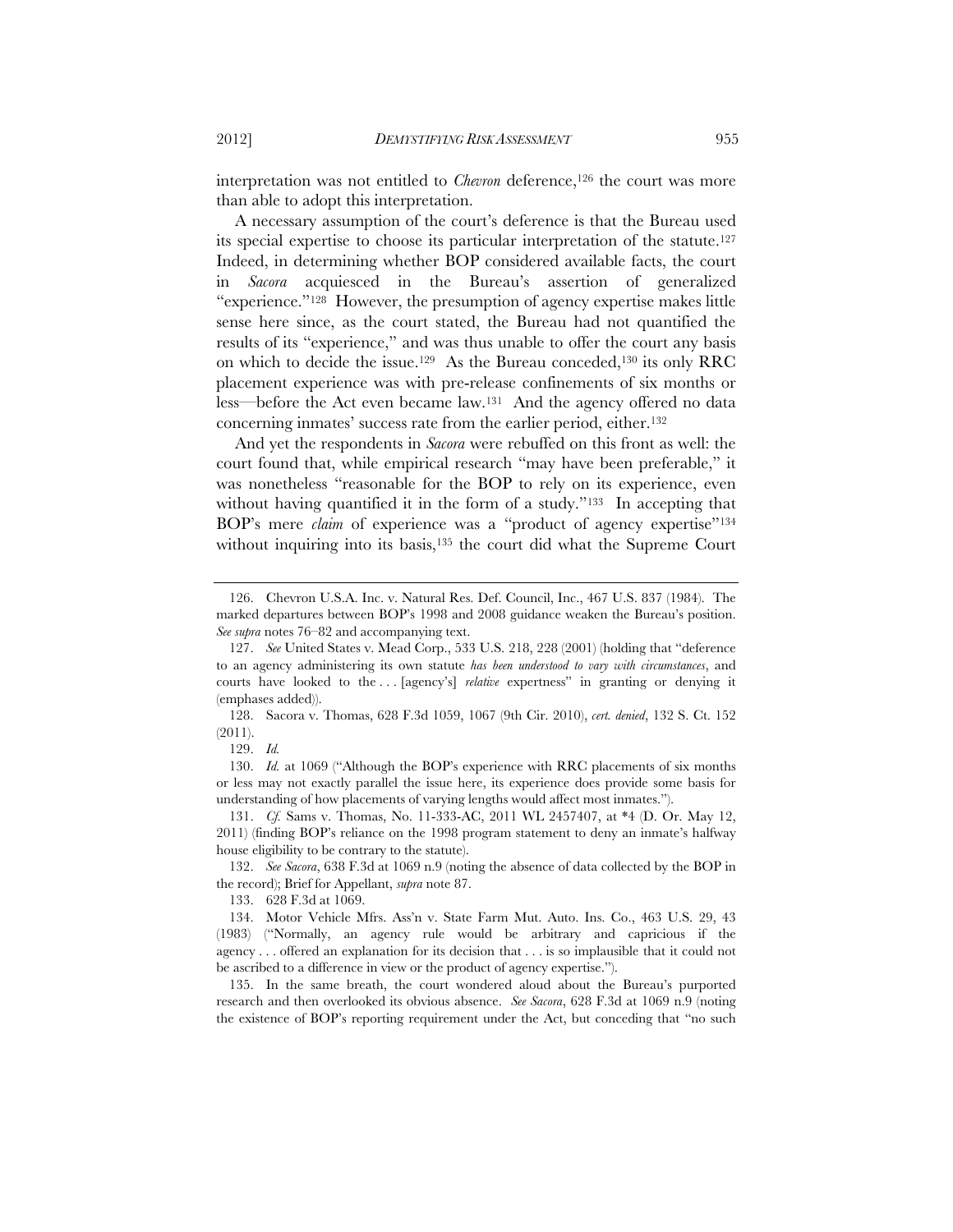interpretation was not entitled to *Chevron* deference,<sup>126</sup> the court was more than able to adopt this interpretation.

A necessary assumption of the court's deference is that the Bureau used its special expertise to choose its particular interpretation of the statute.127 Indeed, in determining whether BOP considered available facts, the court in *Sacora* acquiesced in the Bureau's assertion of generalized "experience."128 However, the presumption of agency expertise makes little sense here since, as the court stated, the Bureau had not quantified the results of its "experience," and was thus unable to offer the court any basis on which to decide the issue.129 As the Bureau conceded,130 its only RRC placement experience was with pre-release confinements of six months or less—before the Act even became law.131 And the agency offered no data concerning inmates' success rate from the earlier period, either.132

And yet the respondents in *Sacora* were rebuffed on this front as well: the court found that, while empirical research "may have been preferable," it was nonetheless "reasonable for the BOP to rely on its experience, even without having quantified it in the form of a study."<sup>133</sup> In accepting that BOP's mere *claim* of experience was a "product of agency expertise"<sup>134</sup> without inquiring into its basis,<sup>135</sup> the court did what the Supreme Court

 128. Sacora v. Thomas, 628 F.3d 1059, 1067 (9th Cir. 2010), *cert. denied*, 132 S. Ct. 152 (2011).

129. *Id.*

 130. *Id.* at 1069 ("Although the BOP's experience with RRC placements of six months or less may not exactly parallel the issue here, its experience does provide some basis for understanding of how placements of varying lengths would affect most inmates.").

 132. *See Sacora*, 638 F.3d at 1069 n.9 (noting the absence of data collected by the BOP in the record); Brief for Appellant, *supra* note 87.

133. 628 F.3d at 1069.

 135. In the same breath, the court wondered aloud about the Bureau's purported research and then overlooked its obvious absence. *See Sacora*, 628 F.3d at 1069 n.9 (noting the existence of BOP's reporting requirement under the Act, but conceding that "no such

 <sup>126.</sup> Chevron U.S.A. Inc. v. Natural Res. Def. Council, Inc., 467 U.S. 837 (1984). The marked departures between BOP's 1998 and 2008 guidance weaken the Bureau's position. *See supra* notes 76–82 and accompanying text.

 <sup>127.</sup> *See* United States v. Mead Corp., 533 U.S. 218, 228 (2001) (holding that "deference to an agency administering its own statute *has been understood to vary with circumstances*, and courts have looked to the . . . [agency's] *relative* expertness" in granting or denying it (emphases added)).

 <sup>131.</sup> *Cf.* Sams v. Thomas, No. 11-333-AC, 2011 WL 2457407, at \*4 (D. Or. May 12, 2011) (finding BOP's reliance on the 1998 program statement to deny an inmate's halfway house eligibility to be contrary to the statute).

 <sup>134.</sup> Motor Vehicle Mfrs. Ass'n v. State Farm Mut. Auto. Ins. Co., 463 U.S. 29, 43 (1983) ("Normally, an agency rule would be arbitrary and capricious if the agency . . . offered an explanation for its decision that . . . is so implausible that it could not be ascribed to a difference in view or the product of agency expertise.").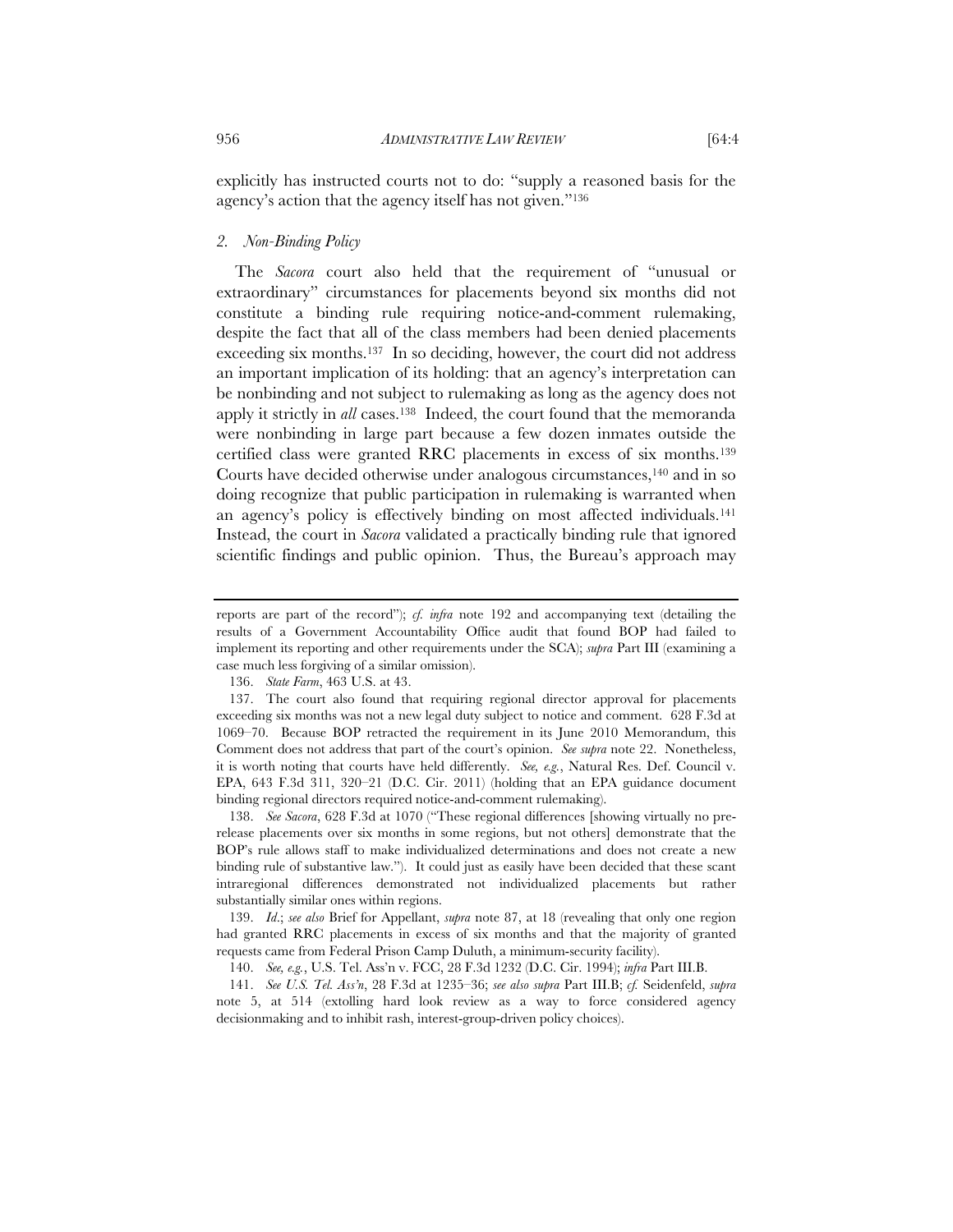explicitly has instructed courts not to do: "supply a reasoned basis for the agency's action that the agency itself has not given."136

## *2. Non-Binding Policy*

The *Sacora* court also held that the requirement of "unusual or extraordinary" circumstances for placements beyond six months did not constitute a binding rule requiring notice-and-comment rulemaking, despite the fact that all of the class members had been denied placements exceeding six months.137 In so deciding, however, the court did not address an important implication of its holding: that an agency's interpretation can be nonbinding and not subject to rulemaking as long as the agency does not apply it strictly in *all* cases.138 Indeed, the court found that the memoranda were nonbinding in large part because a few dozen inmates outside the certified class were granted RRC placements in excess of six months.139 Courts have decided otherwise under analogous circumstances,140 and in so doing recognize that public participation in rulemaking is warranted when an agency's policy is effectively binding on most affected individuals.141 Instead, the court in *Sacora* validated a practically binding rule that ignored scientific findings and public opinion. Thus, the Bureau's approach may

136. *State Farm*, 463 U.S. at 43.

 138. *See Sacora*, 628 F.3d at 1070 ("These regional differences [showing virtually no prerelease placements over six months in some regions, but not others] demonstrate that the BOP's rule allows staff to make individualized determinations and does not create a new binding rule of substantive law."). It could just as easily have been decided that these scant intraregional differences demonstrated not individualized placements but rather substantially similar ones within regions.

 139. *Id*.; *see also* Brief for Appellant, *supra* note 87, at 18 (revealing that only one region had granted RRC placements in excess of six months and that the majority of granted requests came from Federal Prison Camp Duluth, a minimum-security facility).

140. *See, e.g.*, U.S. Tel. Ass'n v. FCC, 28 F.3d 1232 (D.C. Cir. 1994); *infra* Part III.B.

 141. *See U.S. Tel. Ass'n*, 28 F.3d at 1235–36; *see also supra* Part III.B; *cf.* Seidenfeld, *supra*  note 5, at 514 (extolling hard look review as a way to force considered agency decisionmaking and to inhibit rash, interest-group-driven policy choices).

reports are part of the record"); *cf. infra* note 192 and accompanying text (detailing the results of a Government Accountability Office audit that found BOP had failed to implement its reporting and other requirements under the SCA); *supra* Part III (examining a case much less forgiving of a similar omission).

 <sup>137.</sup> The court also found that requiring regional director approval for placements exceeding six months was not a new legal duty subject to notice and comment. 628 F.3d at 1069–70. Because BOP retracted the requirement in its June 2010 Memorandum, this Comment does not address that part of the court's opinion. *See supra* note 22. Nonetheless, it is worth noting that courts have held differently. *See, e.g.*, Natural Res. Def. Council v. EPA, 643 F.3d 311, 320–21 (D.C. Cir. 2011) (holding that an EPA guidance document binding regional directors required notice-and-comment rulemaking).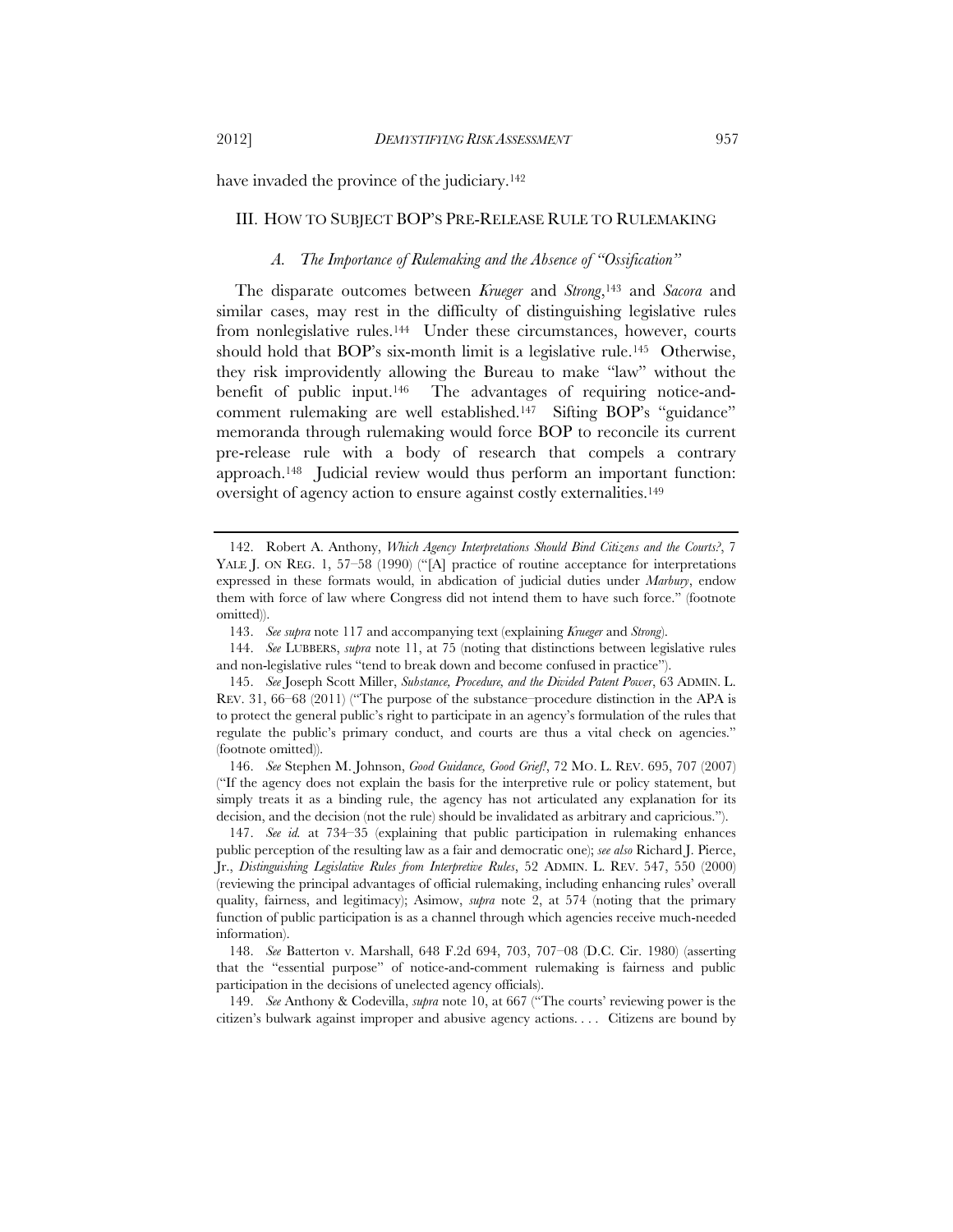have invaded the province of the judiciary.<sup>142</sup>

#### III. HOW TO SUBJECT BOP'S PRE-RELEASE RULE TO RULEMAKING

## *A. The Importance of Rulemaking and the Absence of "Ossification"*

The disparate outcomes between *Krueger* and *Strong*,143 and *Sacora* and similar cases, may rest in the difficulty of distinguishing legislative rules from nonlegislative rules.<sup>144</sup> Under these circumstances, however, courts should hold that BOP's six-month limit is a legislative rule.145 Otherwise, they risk improvidently allowing the Bureau to make "law" without the benefit of public input.146 The advantages of requiring notice-andcomment rulemaking are well established.147 Sifting BOP's "guidance" memoranda through rulemaking would force BOP to reconcile its current pre-release rule with a body of research that compels a contrary approach.148 Judicial review would thus perform an important function: oversight of agency action to ensure against costly externalities.149

 146. *See* Stephen M. Johnson, *Good Guidance, Good Grief!*, 72 MO. L. REV. 695, 707 (2007) ("If the agency does not explain the basis for the interpretive rule or policy statement, but simply treats it as a binding rule, the agency has not articulated any explanation for its decision, and the decision (not the rule) should be invalidated as arbitrary and capricious.").

 147. *See id.* at 734–35 (explaining that public participation in rulemaking enhances public perception of the resulting law as a fair and democratic one); *see also* Richard J. Pierce, Jr., *Distinguishing Legislative Rules from Interpretive Rules*, 52 ADMIN. L. REV. 547, 550 (2000) (reviewing the principal advantages of official rulemaking, including enhancing rules' overall quality, fairness, and legitimacy); Asimow, *supra* note 2, at 574 (noting that the primary function of public participation is as a channel through which agencies receive much-needed information).

 149. *See* Anthony & Codevilla, *supra* note 10, at 667 ("The courts' reviewing power is the citizen's bulwark against improper and abusive agency actions. . . . Citizens are bound by

 <sup>142.</sup> Robert A. Anthony, *Which Agency Interpretations Should Bind Citizens and the Courts?*, 7 YALE J. ON REG. 1, 57-58 (1990) ("[A] practice of routine acceptance for interpretations expressed in these formats would, in abdication of judicial duties under *Marbury*, endow them with force of law where Congress did not intend them to have such force." (footnote omitted)).

 <sup>143.</sup> *See supra* note 117 and accompanying text (explaining *Krueger* and *Strong*).

 <sup>144.</sup> *See* LUBBERS, *supra* note 11, at 75 (noting that distinctions between legislative rules and non-legislative rules "tend to break down and become confused in practice").

 <sup>145.</sup> *See* Joseph Scott Miller, *Substance, Procedure, and the Divided Patent Power*, 63 ADMIN. L. REV. 31, 66–68 (2011) ("The purpose of the substance–procedure distinction in the APA is to protect the general public's right to participate in an agency's formulation of the rules that regulate the public's primary conduct, and courts are thus a vital check on agencies." (footnote omitted)).

 <sup>148.</sup> *See* Batterton v. Marshall, 648 F.2d 694, 703, 707–08 (D.C. Cir. 1980) (asserting that the "essential purpose" of notice-and-comment rulemaking is fairness and public participation in the decisions of unelected agency officials).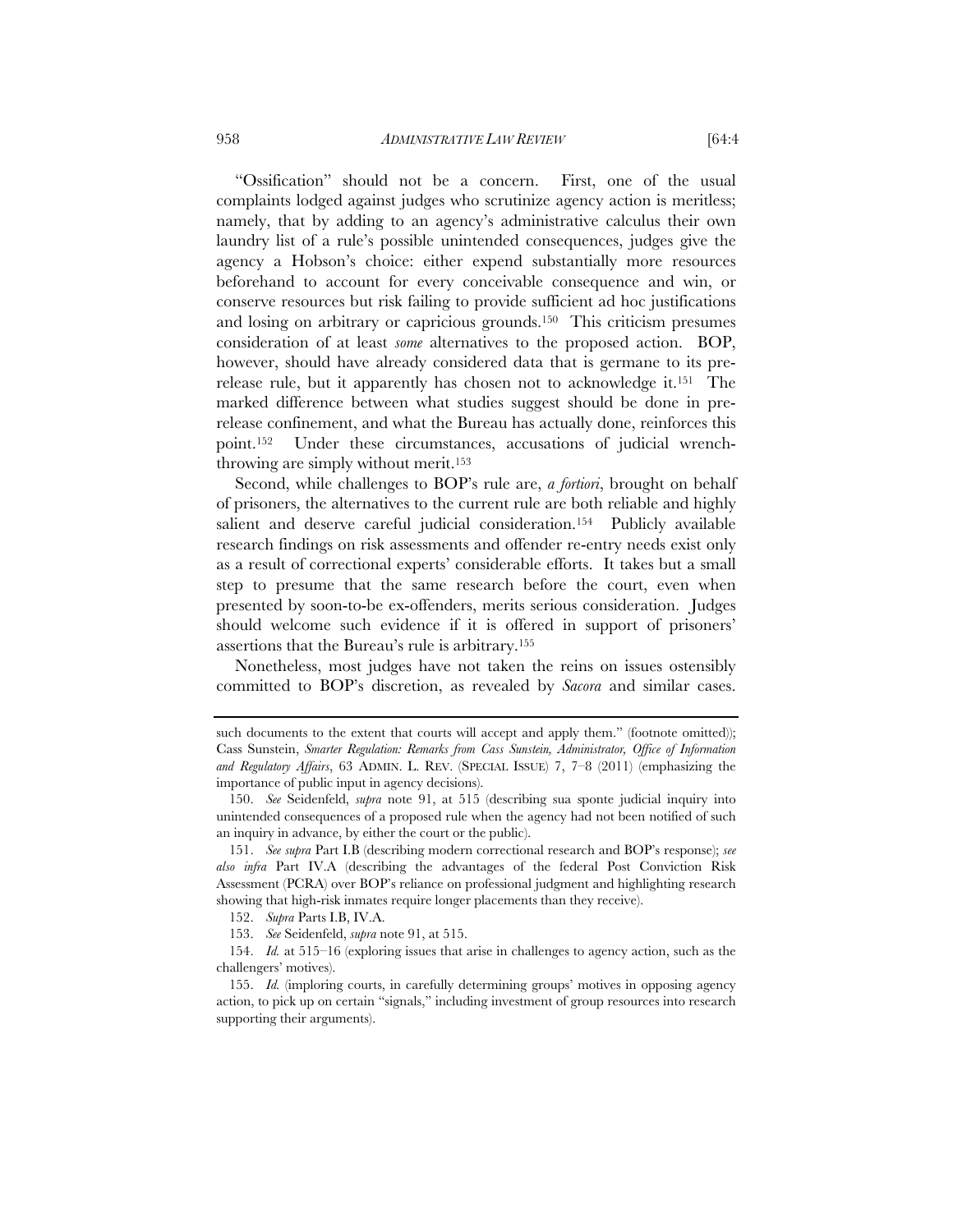"Ossification" should not be a concern. First, one of the usual complaints lodged against judges who scrutinize agency action is meritless; namely, that by adding to an agency's administrative calculus their own laundry list of a rule's possible unintended consequences, judges give the agency a Hobson's choice: either expend substantially more resources beforehand to account for every conceivable consequence and win, or conserve resources but risk failing to provide sufficient ad hoc justifications and losing on arbitrary or capricious grounds.150 This criticism presumes consideration of at least *some* alternatives to the proposed action. BOP, however, should have already considered data that is germane to its prerelease rule, but it apparently has chosen not to acknowledge it.151 The marked difference between what studies suggest should be done in prerelease confinement, and what the Bureau has actually done, reinforces this point.152 Under these circumstances, accusations of judicial wrenchthrowing are simply without merit.153

Second, while challenges to BOP's rule are, *a fortiori*, brought on behalf of prisoners, the alternatives to the current rule are both reliable and highly salient and deserve careful judicial consideration.<sup>154</sup> Publicly available research findings on risk assessments and offender re-entry needs exist only as a result of correctional experts' considerable efforts. It takes but a small step to presume that the same research before the court, even when presented by soon-to-be ex-offenders, merits serious consideration. Judges should welcome such evidence if it is offered in support of prisoners' assertions that the Bureau's rule is arbitrary.155

Nonetheless, most judges have not taken the reins on issues ostensibly committed to BOP's discretion, as revealed by *Sacora* and similar cases.

such documents to the extent that courts will accept and apply them." (footnote omitted)); Cass Sunstein, *Smarter Regulation: Remarks from Cass Sunstein, Administrator, Office of Information and Regulatory Affairs*, 63 ADMIN. L. REV. (SPECIAL ISSUE) 7, 7–8 (2011) (emphasizing the importance of public input in agency decisions).

 <sup>150.</sup> *See* Seidenfeld, *supra* note 91, at 515 (describing sua sponte judicial inquiry into unintended consequences of a proposed rule when the agency had not been notified of such an inquiry in advance, by either the court or the public).

 <sup>151.</sup> *See supra* Part I.B (describing modern correctional research and BOP's response); *see also infra* Part IV.A (describing the advantages of the federal Post Conviction Risk Assessment (PCRA) over BOP's reliance on professional judgment and highlighting research showing that high-risk inmates require longer placements than they receive).

 <sup>152.</sup> *Supra* Parts I.B, IV.A.

 <sup>153.</sup> *See* Seidenfeld, *supra* note 91, at 515.

 <sup>154.</sup> *Id.* at 515–16 (exploring issues that arise in challenges to agency action, such as the challengers' motives).

 <sup>155.</sup> *Id.* (imploring courts, in carefully determining groups' motives in opposing agency action, to pick up on certain "signals," including investment of group resources into research supporting their arguments).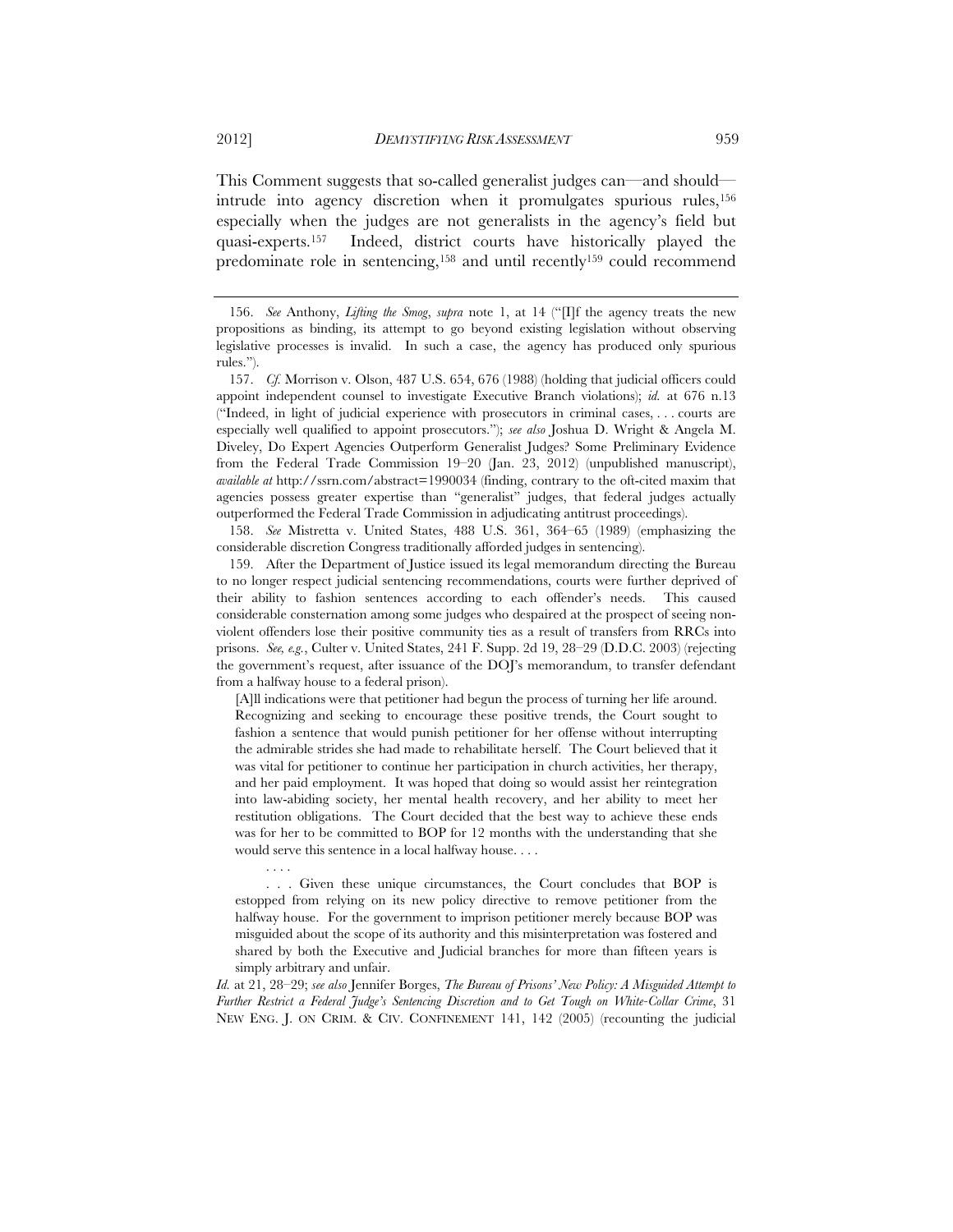This Comment suggests that so-called generalist judges can—and should intrude into agency discretion when it promulgates spurious rules,156 especially when the judges are not generalists in the agency's field but quasi-experts.157 Indeed, district courts have historically played the predominate role in sentencing,158 and until recently159 could recommend

 158. *See* Mistretta v. United States, 488 U.S. 361, 364–65 (1989) (emphasizing the considerable discretion Congress traditionally afforded judges in sentencing).

 159. After the Department of Justice issued its legal memorandum directing the Bureau to no longer respect judicial sentencing recommendations, courts were further deprived of their ability to fashion sentences according to each offender's needs. This caused considerable consternation among some judges who despaired at the prospect of seeing nonviolent offenders lose their positive community ties as a result of transfers from RRCs into prisons. *See, e.g.*, Culter v. United States, 241 F. Supp. 2d 19, 28–29 (D.D.C. 2003) (rejecting the government's request, after issuance of the DOJ's memorandum, to transfer defendant from a halfway house to a federal prison).

[A]ll indications were that petitioner had begun the process of turning her life around. Recognizing and seeking to encourage these positive trends, the Court sought to fashion a sentence that would punish petitioner for her offense without interrupting the admirable strides she had made to rehabilitate herself. The Court believed that it was vital for petitioner to continue her participation in church activities, her therapy, and her paid employment. It was hoped that doing so would assist her reintegration into law-abiding society, her mental health recovery, and her ability to meet her restitution obligations. The Court decided that the best way to achieve these ends was for her to be committed to BOP for 12 months with the understanding that she would serve this sentence in a local halfway house. . . .

*Id.* at 21, 28–29; *see also* Jennifer Borges, *The Bureau of Prisons' New Policy: A Misguided Attempt to Further Restrict a Federal Judge's Sentencing Discretion and to Get Tough on White-Collar Crime*, 31 NEW ENG. J. ON CRIM. & CIV. CONFINEMENT 141, 142 (2005) (recounting the judicial

 <sup>156.</sup> *See* Anthony, *Lifting the Smog*, *supra* note 1, at 14 ("[I]f the agency treats the new propositions as binding, its attempt to go beyond existing legislation without observing legislative processes is invalid. In such a case, the agency has produced only spurious rules.").

 <sup>157.</sup> *Cf.* Morrison v. Olson, 487 U.S. 654, 676 (1988) (holding that judicial officers could appoint independent counsel to investigate Executive Branch violations); *id.* at 676 n.13 ("Indeed, in light of judicial experience with prosecutors in criminal cases, . . . courts are especially well qualified to appoint prosecutors."); *see also* Joshua D. Wright & Angela M. Diveley, Do Expert Agencies Outperform Generalist Judges? Some Preliminary Evidence from the Federal Trade Commission 19–20 (Jan. 23, 2012) (unpublished manuscript), *available at* http://ssrn.com/abstract=1990034 (finding, contrary to the oft-cited maxim that agencies possess greater expertise than "generalist" judges, that federal judges actually outperformed the Federal Trade Commission in adjudicating antitrust proceedings).

 <sup>. . . .</sup>  . . . Given these unique circumstances, the Court concludes that BOP is estopped from relying on its new policy directive to remove petitioner from the halfway house. For the government to imprison petitioner merely because BOP was misguided about the scope of its authority and this misinterpretation was fostered and shared by both the Executive and Judicial branches for more than fifteen years is simply arbitrary and unfair.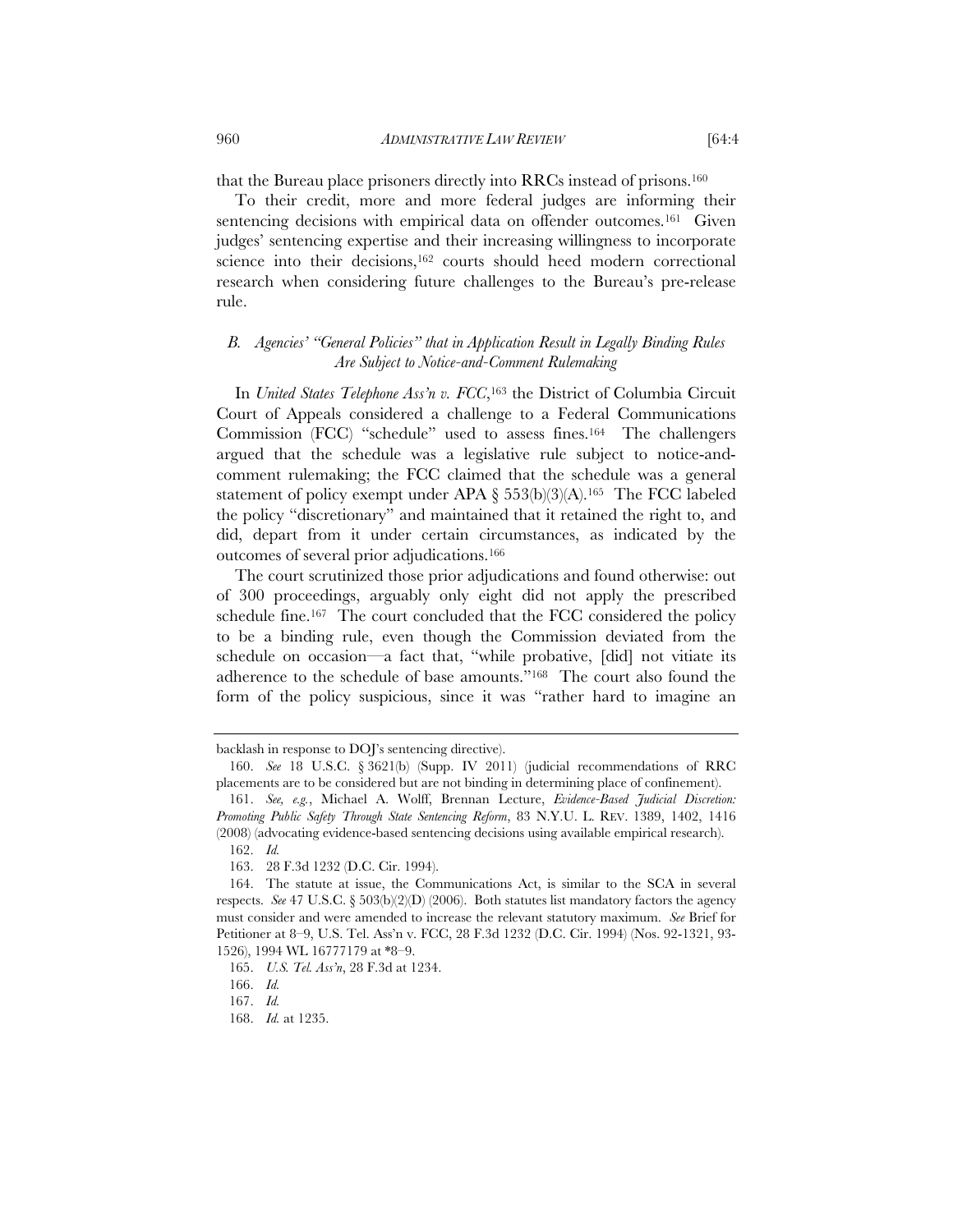that the Bureau place prisoners directly into RRCs instead of prisons.160

To their credit, more and more federal judges are informing their sentencing decisions with empirical data on offender outcomes.<sup>161</sup> Given judges' sentencing expertise and their increasing willingness to incorporate science into their decisions,<sup>162</sup> courts should heed modern correctional research when considering future challenges to the Bureau's pre-release rule.

# *B. Agencies' "General Policies" that in Application Result in Legally Binding Rules Are Subject to Notice-and-Comment Rulemaking*

In *United States Telephone Ass'n v. FCC*,163 the District of Columbia Circuit Court of Appeals considered a challenge to a Federal Communications Commission (FCC) "schedule" used to assess fines.164 The challengers argued that the schedule was a legislative rule subject to notice-andcomment rulemaking; the FCC claimed that the schedule was a general statement of policy exempt under APA  $\S$  553(b)(3)(A).<sup>165</sup> The FCC labeled the policy "discretionary" and maintained that it retained the right to, and did, depart from it under certain circumstances, as indicated by the outcomes of several prior adjudications.166

The court scrutinized those prior adjudications and found otherwise: out of 300 proceedings, arguably only eight did not apply the prescribed schedule fine.167 The court concluded that the FCC considered the policy to be a binding rule, even though the Commission deviated from the schedule on occasion—a fact that, "while probative, [did] not vitiate its adherence to the schedule of base amounts."168 The court also found the form of the policy suspicious, since it was "rather hard to imagine an

backlash in response to DOJ's sentencing directive).

 <sup>160.</sup> *See* 18 U.S.C. § 3621(b) (Supp. IV 2011) (judicial recommendations of RRC placements are to be considered but are not binding in determining place of confinement).

 <sup>161.</sup> *See, e.g.*, Michael A. Wolff, Brennan Lecture, *Evidence-Based Judicial Discretion: Promoting Public Safety Through State Sentencing Reform*, 83 N.Y.U. L. REV. 1389, 1402, 1416 (2008) (advocating evidence-based sentencing decisions using available empirical research).

 <sup>162.</sup> *Id.*

 <sup>163. 28</sup> F.3d 1232 (D.C. Cir. 1994).

 <sup>164.</sup> The statute at issue, the Communications Act, is similar to the SCA in several respects. *See* 47 U.S.C. § 503(b)(2)(D) (2006). Both statutes list mandatory factors the agency must consider and were amended to increase the relevant statutory maximum. *See* Brief for Petitioner at 8–9, U.S. Tel. Ass'n v. FCC, 28 F.3d 1232 (D.C. Cir. 1994) (Nos. 92-1321, 93- 1526), 1994 WL 16777179 at \*8–9.

 <sup>165.</sup> *U.S. Tel. Ass'n*, 28 F.3d at 1234.

 <sup>166.</sup> *Id.*

 <sup>167.</sup> *Id.*

 <sup>168.</sup> *Id.* at 1235.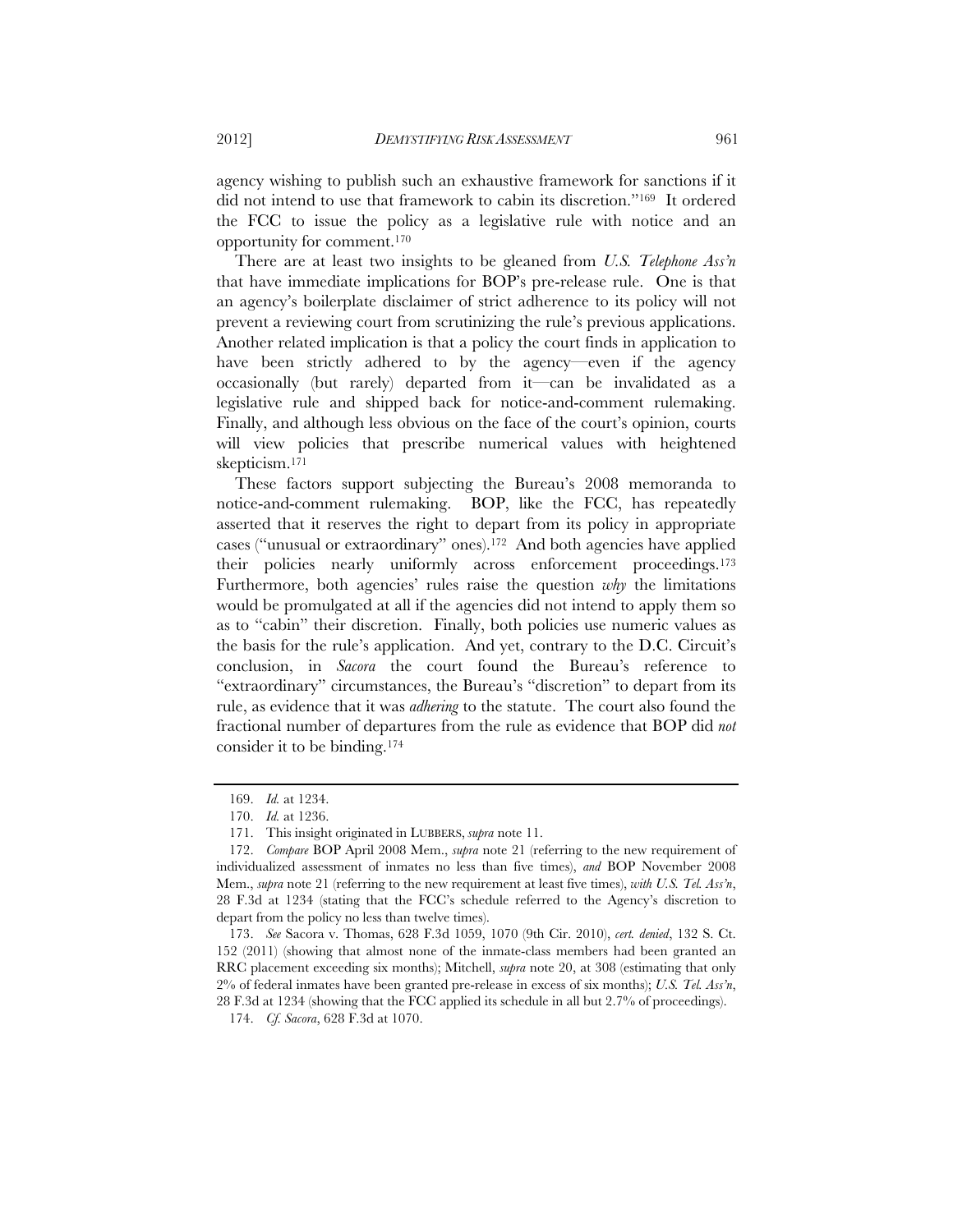agency wishing to publish such an exhaustive framework for sanctions if it did not intend to use that framework to cabin its discretion."169 It ordered the FCC to issue the policy as a legislative rule with notice and an opportunity for comment.170

There are at least two insights to be gleaned from *U.S. Telephone Ass'n* that have immediate implications for BOP's pre-release rule. One is that an agency's boilerplate disclaimer of strict adherence to its policy will not prevent a reviewing court from scrutinizing the rule's previous applications. Another related implication is that a policy the court finds in application to have been strictly adhered to by the agency—even if the agency occasionally (but rarely) departed from it—can be invalidated as a legislative rule and shipped back for notice-and-comment rulemaking. Finally, and although less obvious on the face of the court's opinion, courts will view policies that prescribe numerical values with heightened skepticism.171

These factors support subjecting the Bureau's 2008 memoranda to notice-and-comment rulemaking. BOP, like the FCC, has repeatedly asserted that it reserves the right to depart from its policy in appropriate cases ("unusual or extraordinary" ones).172 And both agencies have applied their policies nearly uniformly across enforcement proceedings.173 Furthermore, both agencies' rules raise the question *why* the limitations would be promulgated at all if the agencies did not intend to apply them so as to "cabin" their discretion. Finally, both policies use numeric values as the basis for the rule's application. And yet, contrary to the D.C. Circuit's conclusion, in *Sacora* the court found the Bureau's reference to "extraordinary" circumstances, the Bureau's "discretion" to depart from its rule, as evidence that it was *adhering* to the statute. The court also found the fractional number of departures from the rule as evidence that BOP did *not*  consider it to be binding.174

 <sup>169.</sup> *Id.* at 1234.

 <sup>170.</sup> *Id.* at 1236.

 <sup>171.</sup> This insight originated in LUBBERS, *supra* note 11.

 <sup>172.</sup> *Compare* BOP April 2008 Mem., *supra* note 21 (referring to the new requirement of individualized assessment of inmates no less than five times), *and* BOP November 2008 Mem., *supra* note 21 (referring to the new requirement at least five times), *with U.S. Tel. Ass'n*, 28 F.3d at 1234 (stating that the FCC's schedule referred to the Agency's discretion to depart from the policy no less than twelve times).

 <sup>173.</sup> *See* Sacora v. Thomas, 628 F.3d 1059, 1070 (9th Cir. 2010), *cert. denied*, 132 S. Ct. 152 (2011) (showing that almost none of the inmate-class members had been granted an RRC placement exceeding six months); Mitchell, *supra* note 20, at 308 (estimating that only 2% of federal inmates have been granted pre-release in excess of six months); *U.S. Tel. Ass'n*, 28 F.3d at 1234 (showing that the FCC applied its schedule in all but 2.7% of proceedings).

 <sup>174.</sup> *Cf. Sacora*, 628 F.3d at 1070.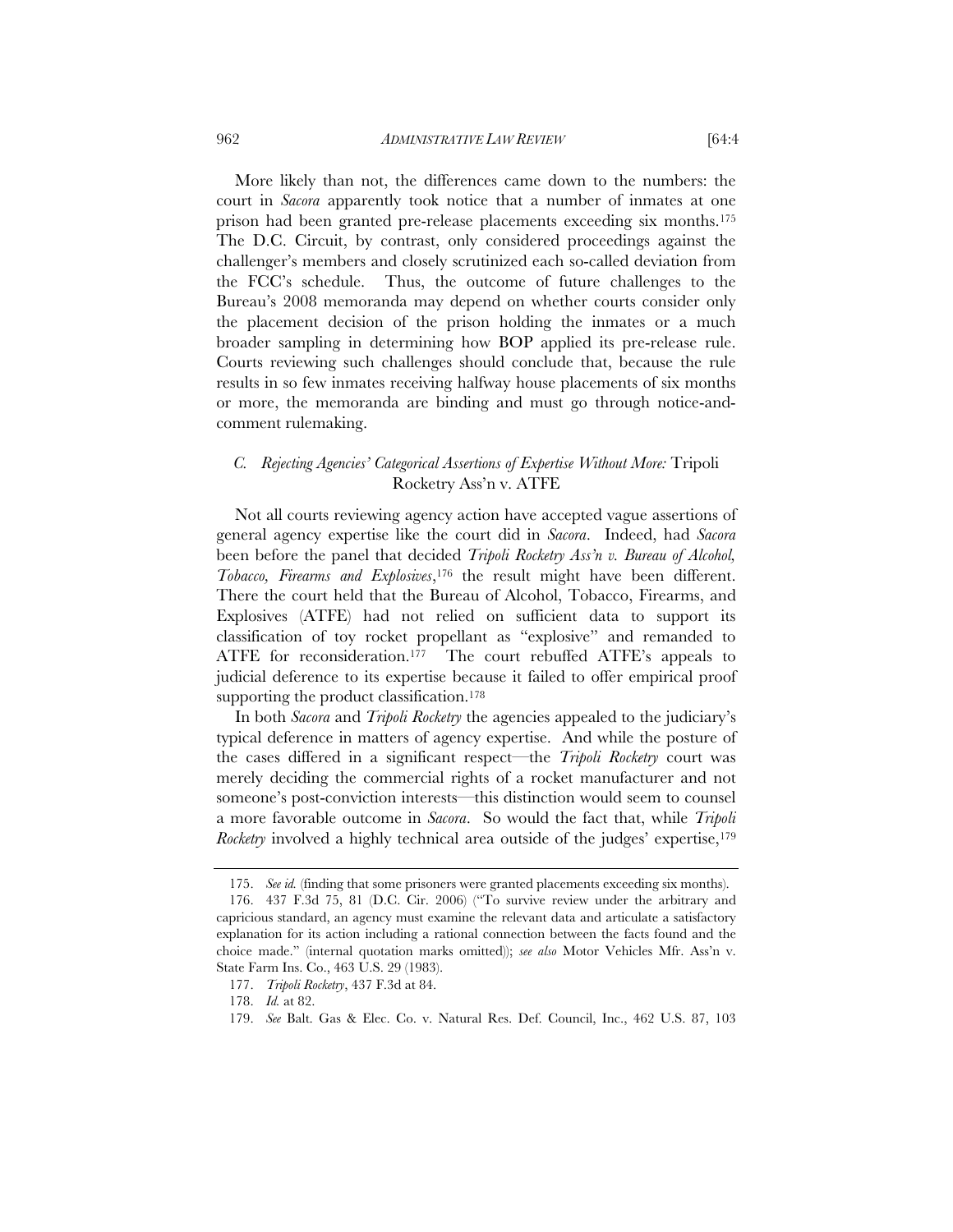More likely than not, the differences came down to the numbers: the court in *Sacora* apparently took notice that a number of inmates at one prison had been granted pre-release placements exceeding six months.175 The D.C. Circuit, by contrast, only considered proceedings against the challenger's members and closely scrutinized each so-called deviation from the FCC's schedule. Thus, the outcome of future challenges to the Bureau's 2008 memoranda may depend on whether courts consider only the placement decision of the prison holding the inmates or a much broader sampling in determining how BOP applied its pre-release rule. Courts reviewing such challenges should conclude that, because the rule results in so few inmates receiving halfway house placements of six months or more, the memoranda are binding and must go through notice-andcomment rulemaking.

# *C. Rejecting Agencies' Categorical Assertions of Expertise Without More:* Tripoli Rocketry Ass'n v. ATFE

Not all courts reviewing agency action have accepted vague assertions of general agency expertise like the court did in *Sacora*. Indeed, had *Sacora* been before the panel that decided *Tripoli Rocketry Ass'n v. Bureau of Alcohol, Tobacco, Firearms and Explosives*,176 the result might have been different. There the court held that the Bureau of Alcohol, Tobacco, Firearms, and Explosives (ATFE) had not relied on sufficient data to support its classification of toy rocket propellant as "explosive" and remanded to ATFE for reconsideration.177 The court rebuffed ATFE's appeals to judicial deference to its expertise because it failed to offer empirical proof supporting the product classification.<sup>178</sup>

In both *Sacora* and *Tripoli Rocketry* the agencies appealed to the judiciary's typical deference in matters of agency expertise. And while the posture of the cases differed in a significant respect—the *Tripoli Rocketry* court was merely deciding the commercial rights of a rocket manufacturer and not someone's post-conviction interests—this distinction would seem to counsel a more favorable outcome in *Sacora*. So would the fact that, while *Tripoli Rocketry* involved a highly technical area outside of the judges' expertise,<sup>179</sup>

 <sup>175.</sup> *See id.* (finding that some prisoners were granted placements exceeding six months).

 <sup>176. 437</sup> F.3d 75, 81 (D.C. Cir. 2006) ("To survive review under the arbitrary and capricious standard, an agency must examine the relevant data and articulate a satisfactory explanation for its action including a rational connection between the facts found and the choice made." (internal quotation marks omitted)); *see also* Motor Vehicles Mfr. Ass'n v. State Farm Ins. Co., 463 U.S. 29 (1983).

 <sup>177.</sup> *Tripoli Rocketry*, 437 F.3d at 84.

 <sup>178.</sup> *Id.* at 82.

 <sup>179.</sup> *See* Balt. Gas & Elec. Co. v. Natural Res. Def. Council, Inc., 462 U.S. 87, 103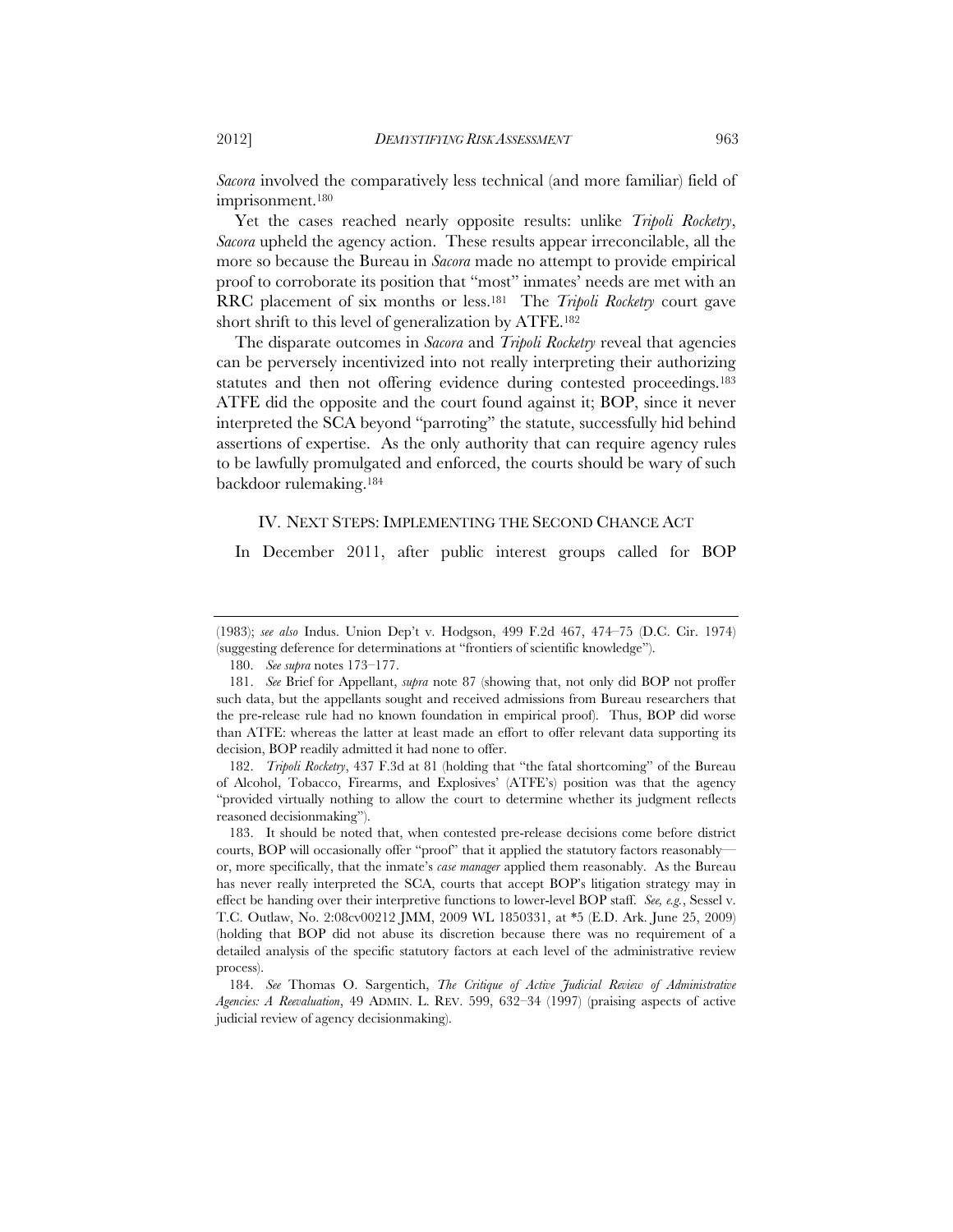*Sacora* involved the comparatively less technical (and more familiar) field of imprisonment.180

Yet the cases reached nearly opposite results: unlike *Tripoli Rocketry*, *Sacora* upheld the agency action. These results appear irreconcilable, all the more so because the Bureau in *Sacora* made no attempt to provide empirical proof to corroborate its position that "most" inmates' needs are met with an RRC placement of six months or less.181 The *Tripoli Rocketry* court gave short shrift to this level of generalization by ATFE.182

The disparate outcomes in *Sacora* and *Tripoli Rocketry* reveal that agencies can be perversely incentivized into not really interpreting their authorizing statutes and then not offering evidence during contested proceedings.<sup>183</sup> ATFE did the opposite and the court found against it; BOP, since it never interpreted the SCA beyond "parroting" the statute, successfully hid behind assertions of expertise. As the only authority that can require agency rules to be lawfully promulgated and enforced, the courts should be wary of such backdoor rulemaking.184

# IV. NEXT STEPS: IMPLEMENTING THE SECOND CHANCE ACT

In December 2011, after public interest groups called for BOP

180. *See supra* notes 173–177.

 182. *Tripoli Rocketry*, 437 F.3d at 81 (holding that "the fatal shortcoming" of the Bureau of Alcohol, Tobacco, Firearms, and Explosives' (ATFE's) position was that the agency "provided virtually nothing to allow the court to determine whether its judgment reflects reasoned decisionmaking").

 183. It should be noted that, when contested pre-release decisions come before district courts, BOP will occasionally offer "proof" that it applied the statutory factors reasonably or, more specifically, that the inmate's *case manager* applied them reasonably. As the Bureau has never really interpreted the SCA, courts that accept BOP's litigation strategy may in effect be handing over their interpretive functions to lower-level BOP staff. *See, e.g.*, Sessel v. T.C. Outlaw, No. 2:08cv00212 JMM, 2009 WL 1850331, at \*5 (E.D. Ark. June 25, 2009) (holding that BOP did not abuse its discretion because there was no requirement of a detailed analysis of the specific statutory factors at each level of the administrative review process).

 184. *See* Thomas O. Sargentich, *The Critique of Active Judicial Review of Administrative Agencies: A Reevaluation*, 49 ADMIN. L. REV. 599, 632–34 (1997) (praising aspects of active judicial review of agency decisionmaking).

<sup>(1983);</sup> *see also* Indus. Union Dep't v. Hodgson, 499 F.2d 467, 474–75 (D.C. Cir. 1974) (suggesting deference for determinations at "frontiers of scientific knowledge").

 <sup>181.</sup> *See* Brief for Appellant, *supra* note 87 (showing that, not only did BOP not proffer such data, but the appellants sought and received admissions from Bureau researchers that the pre-release rule had no known foundation in empirical proof). Thus, BOP did worse than ATFE: whereas the latter at least made an effort to offer relevant data supporting its decision, BOP readily admitted it had none to offer.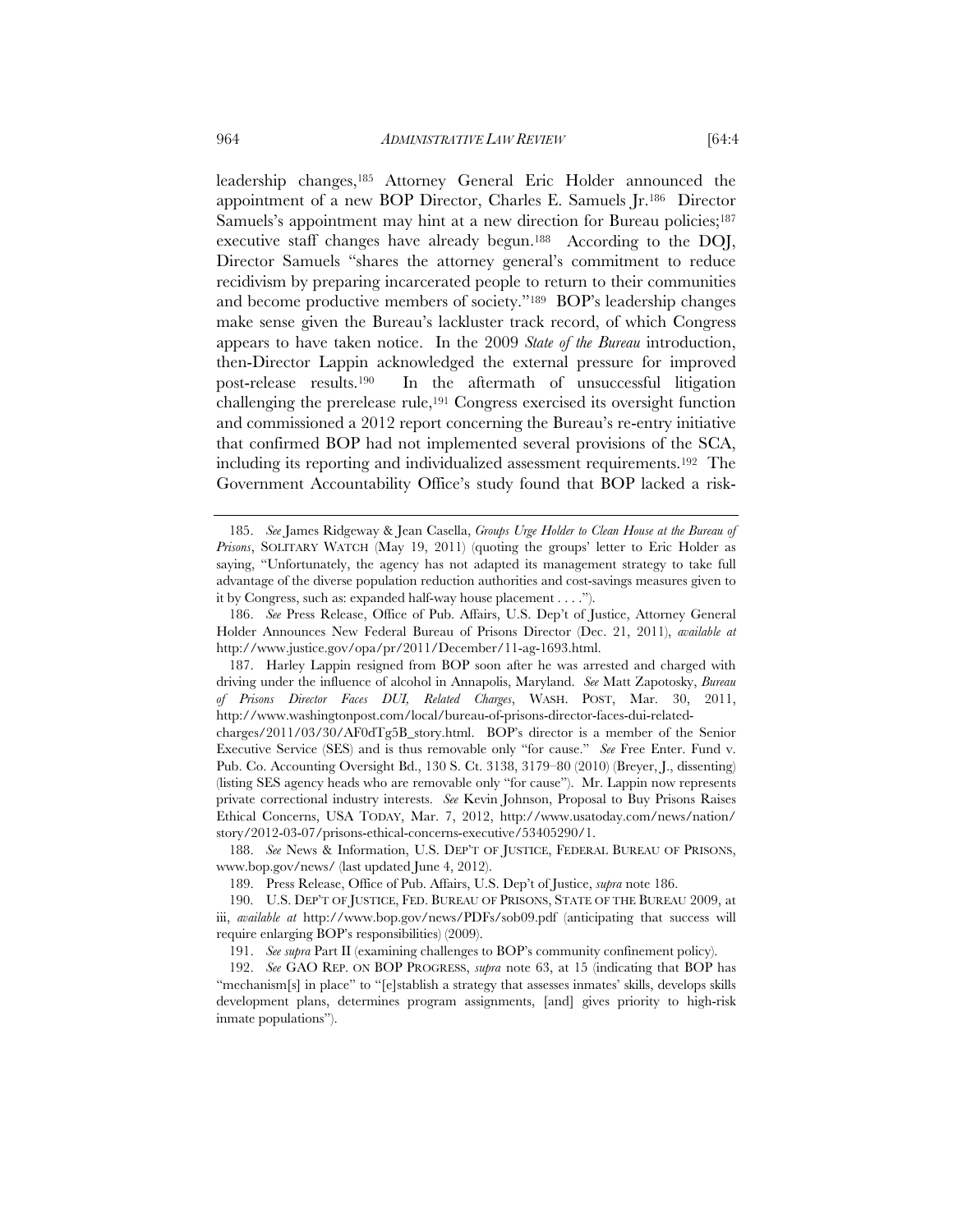leadership changes,185 Attorney General Eric Holder announced the appointment of a new BOP Director, Charles E. Samuels Jr.186 Director Samuels's appointment may hint at a new direction for Bureau policies;<sup>187</sup> executive staff changes have already begun.188 According to the DOJ, Director Samuels "shares the attorney general's commitment to reduce recidivism by preparing incarcerated people to return to their communities and become productive members of society."189 BOP's leadership changes make sense given the Bureau's lackluster track record, of which Congress appears to have taken notice. In the 2009 *State of the Bureau* introduction, then-Director Lappin acknowledged the external pressure for improved post-release results.190 In the aftermath of unsuccessful litigation challenging the prerelease rule,191 Congress exercised its oversight function and commissioned a 2012 report concerning the Bureau's re-entry initiative that confirmed BOP had not implemented several provisions of the SCA, including its reporting and individualized assessment requirements.192 The Government Accountability Office's study found that BOP lacked a risk-

 <sup>185.</sup> *See* James Ridgeway & Jean Casella, *Groups Urge Holder to Clean House at the Bureau of Prisons*, SOLITARY WATCH (May 19, 2011) (quoting the groups' letter to Eric Holder as saying, "Unfortunately, the agency has not adapted its management strategy to take full advantage of the diverse population reduction authorities and cost-savings measures given to it by Congress, such as: expanded half-way house placement . . . .").

 <sup>186.</sup> *See* Press Release, Office of Pub. Affairs, U.S. Dep't of Justice, Attorney General Holder Announces New Federal Bureau of Prisons Director (Dec. 21, 2011), *available at*  http://www.justice.gov/opa/pr/2011/December/11-ag-1693.html.

 <sup>187.</sup> Harley Lappin resigned from BOP soon after he was arrested and charged with driving under the influence of alcohol in Annapolis, Maryland. *See* Matt Zapotosky, *Bureau of Prisons Director Faces DUI, Related Charges*, WASH. POST, Mar. 30, 2011, http://www.washingtonpost.com/local/bureau-of-prisons-director-faces-dui-related-

charges/2011/03/30/AF0dTg5B\_story.html. BOP's director is a member of the Senior Executive Service (SES) and is thus removable only "for cause." *See* Free Enter. Fund v. Pub. Co. Accounting Oversight Bd., 130 S. Ct. 3138, 3179–80 (2010) (Breyer, J., dissenting) (listing SES agency heads who are removable only "for cause"). Mr. Lappin now represents private correctional industry interests. *See* Kevin Johnson, Proposal to Buy Prisons Raises Ethical Concerns, USA TODAY, Mar. 7, 2012, http://www.usatoday.com/news/nation/ story/2012-03-07/prisons-ethical-concerns-executive/53405290/1.

 <sup>188.</sup> *See* News & Information, U.S. DEP'T OF JUSTICE, FEDERAL BUREAU OF PRISONS, www.bop.gov/news/ (last updated June 4, 2012).

 <sup>189.</sup> Press Release, Office of Pub. Affairs, U.S. Dep't of Justice, *supra* note 186.

 <sup>190.</sup> U.S. DEP'T OF JUSTICE, FED. BUREAU OF PRISONS, STATE OF THE BUREAU 2009, at iii, *available at* http://www.bop.gov/news/PDFs/sob09.pdf (anticipating that success will require enlarging BOP's responsibilities) (2009).

 <sup>191.</sup> *See supra* Part II (examining challenges to BOP's community confinement policy).

 <sup>192.</sup> *See* GAO REP. ON BOP PROGRESS, *supra* note 63, at 15 (indicating that BOP has "mechanism[s] in place" to "[e]stablish a strategy that assesses inmates' skills, develops skills development plans, determines program assignments, [and] gives priority to high-risk inmate populations").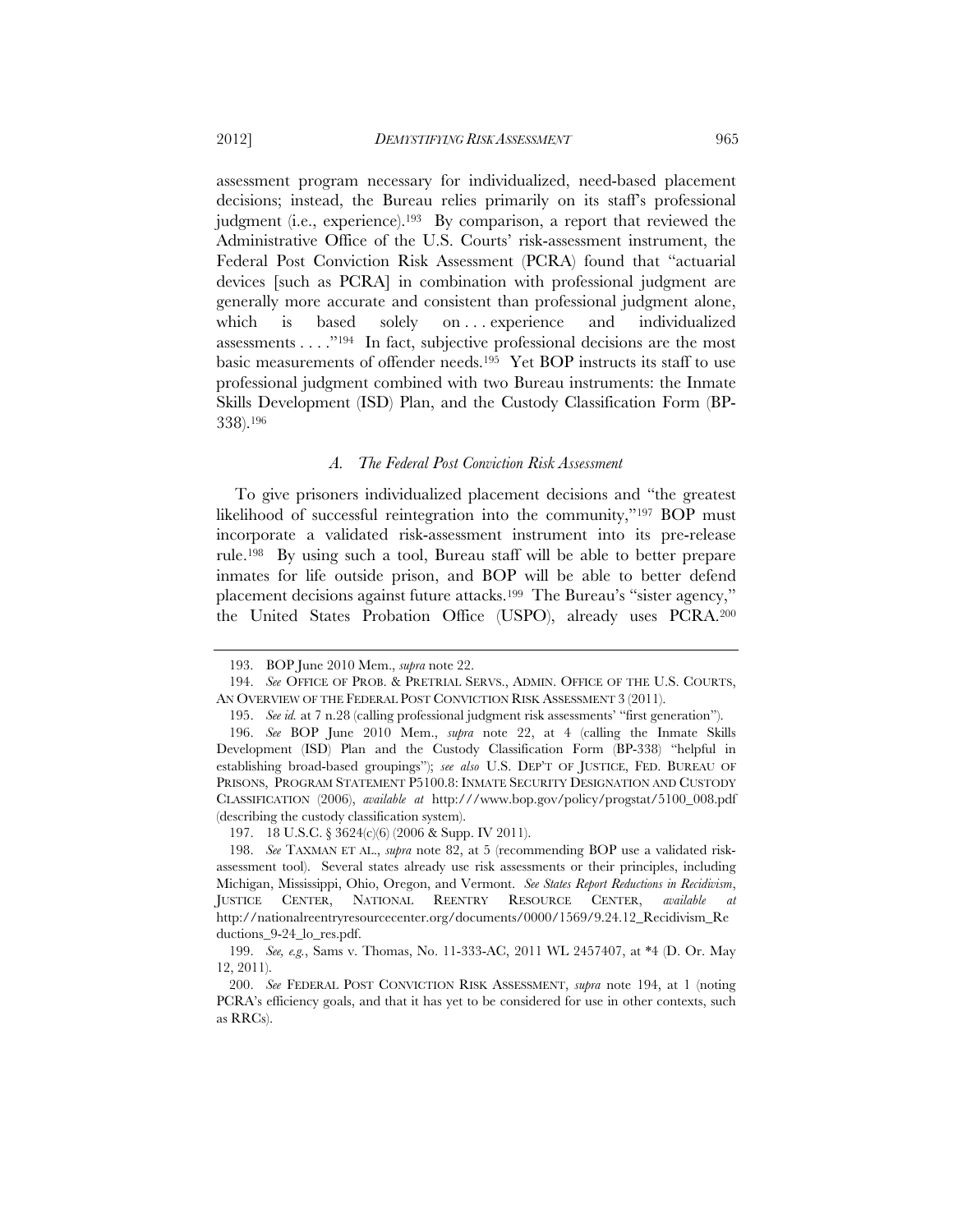assessment program necessary for individualized, need-based placement decisions; instead, the Bureau relies primarily on its staff's professional judgment (i.e., experience).<sup>193</sup> By comparison, a report that reviewed the Administrative Office of the U.S. Courts' risk-assessment instrument, the Federal Post Conviction Risk Assessment (PCRA) found that "actuarial devices [such as PCRA] in combination with professional judgment are generally more accurate and consistent than professional judgment alone, which is based solely on ... experience and individualized assessments . . . ."194 In fact, subjective professional decisions are the most basic measurements of offender needs.195 Yet BOP instructs its staff to use professional judgment combined with two Bureau instruments: the Inmate Skills Development (ISD) Plan, and the Custody Classification Form (BP-338).196

#### *A. The Federal Post Conviction Risk Assessment*

To give prisoners individualized placement decisions and "the greatest likelihood of successful reintegration into the community,"197 BOP must incorporate a validated risk-assessment instrument into its pre-release rule.198 By using such a tool, Bureau staff will be able to better prepare inmates for life outside prison, and BOP will be able to better defend placement decisions against future attacks.199 The Bureau's "sister agency," the United States Probation Office (USPO), already uses PCRA.200

197. 18 U.S.C. § 3624(c)(6) (2006 & Supp. IV 2011).

 <sup>193.</sup> BOP June 2010 Mem., *supra* note 22.

 <sup>194.</sup> *See* OFFICE OF PROB. & PRETRIAL SERVS., ADMIN. OFFICE OF THE U.S. COURTS, AN OVERVIEW OF THE FEDERAL POST CONVICTION RISK ASSESSMENT 3 (2011).

 <sup>195.</sup> *See id.* at 7 n.28 (calling professional judgment risk assessments' "first generation").

 <sup>196.</sup> *See* BOP June 2010 Mem., *supra* note 22, at 4 (calling the Inmate Skills Development (ISD) Plan and the Custody Classification Form (BP-338) "helpful in establishing broad-based groupings"); *see also* U.S. DEP'T OF JUSTICE, FED. BUREAU OF PRISONS, PROGRAM STATEMENT P5100.8: INMATE SECURITY DESIGNATION AND CUSTODY CLASSIFICATION (2006), *available at* http:///www.bop.gov/policy/progstat/5100\_008.pdf (describing the custody classification system).

 <sup>198.</sup> *See* TAXMAN ET AL., *supra* note 82, at 5 (recommending BOP use a validated riskassessment tool). Several states already use risk assessments or their principles, including Michigan, Mississippi, Ohio, Oregon, and Vermont. *See States Report Reductions in Recidivism*, JUSTICE CENTER, NATIONAL REENTRY RESOURCE CENTER, *available at* http://nationalreentryresourcecenter.org/documents/0000/1569/9.24.12\_Recidivism\_Re ductions\_9-24\_lo\_res.pdf.

 <sup>199.</sup> *See, e.g.*, Sams v. Thomas, No. 11-333-AC, 2011 WL 2457407, at \*4 (D. Or. May 12, 2011).

 <sup>200.</sup> *See* FEDERAL POST CONVICTION RISK ASSESSMENT, *supra* note 194, at 1 (noting PCRA's efficiency goals, and that it has yet to be considered for use in other contexts, such as RRCs).